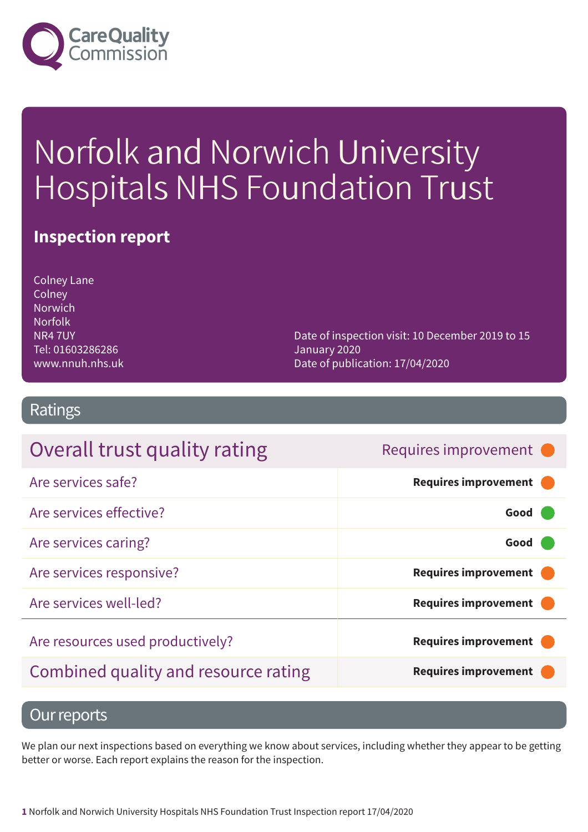

# Norfolk and Norwich University Hospitals NHS Foundation Trust

### **Inspection report**

Colney Lane Colney Norwich Norfolk NR4 7UY Tel: 01603286286 www.nnuh.nhs.uk

Date of inspection visit: 10 December 2019 to 15 January 2020 Date of publication: 17/04/2020

### Ratings

| Overall trust quality rating         | Requires improvement •      |
|--------------------------------------|-----------------------------|
| Are services safe?                   | <b>Requires improvement</b> |
| Are services effective?              | Good                        |
| Are services caring?                 | Good                        |
| Are services responsive?             | <b>Requires improvement</b> |
| Are services well-led?               | <b>Requires improvement</b> |
| Are resources used productively?     | <b>Requires improvement</b> |
| Combined quality and resource rating | <b>Requires improvement</b> |

### Our reports

We plan our next inspections based on everything we know about services, including whether they appear to be getting better or worse. Each report explains the reason for the inspection.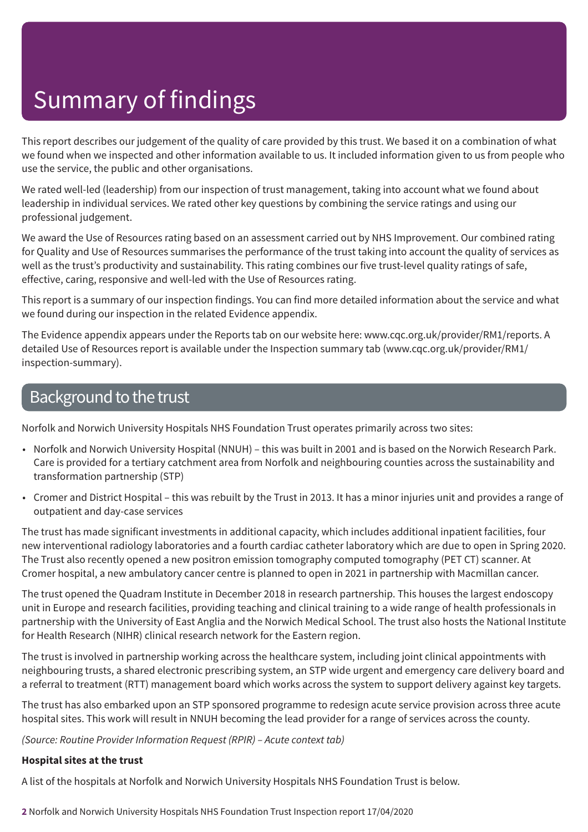This report describes our judgement of the quality of care provided by this trust. We based it on a combination of what we found when we inspected and other information available to us. It included information given to us from people who use the service, the public and other organisations.

We rated well-led (leadership) from our inspection of trust management, taking into account what we found about leadership in individual services. We rated other key questions by combining the service ratings and using our professional judgement.

We award the Use of Resources rating based on an assessment carried out by NHS Improvement. Our combined rating for Quality and Use of Resources summarises the performance of the trust taking into account the quality of services as well as the trust's productivity and sustainability. This rating combines our five trust-level quality ratings of safe, effective, caring, responsive and well-led with the Use of Resources rating.

This report is a summary of our inspection findings. You can find more detailed information about the service and what we found during our inspection in the related Evidence appendix.

The Evidence appendix appears under the Reports tab on our website here: www.cqc.org.uk/provider/RM1/reports. A detailed Use of Resources report is available under the Inspection summary tab (www.cqc.org.uk/provider/RM1/ inspection-summary).

### Background to the trust

Norfolk and Norwich University Hospitals NHS Foundation Trust operates primarily across two sites:

- Norfolk and Norwich University Hospital (NNUH) this was built in 2001 and is based on the Norwich Research Park. Care is provided for a tertiary catchment area from Norfolk and neighbouring counties across the sustainability and transformation partnership (STP)
- Cromer and District Hospital this was rebuilt by the Trust in 2013. It has a minor injuries unit and provides a range of outpatient and day-case services

The trust has made significant investments in additional capacity, which includes additional inpatient facilities, four new interventional radiology laboratories and a fourth cardiac catheter laboratory which are due to open in Spring 2020. The Trust also recently opened a new positron emission tomography computed tomography (PET CT) scanner. At Cromer hospital, a new ambulatory cancer centre is planned to open in 2021 in partnership with Macmillan cancer.

The trust opened the Quadram Institute in December 2018 in research partnership. This houses the largest endoscopy unit in Europe and research facilities, providing teaching and clinical training to a wide range of health professionals in partnership with the University of East Anglia and the Norwich Medical School. The trust also hosts the National Institute for Health Research (NIHR) clinical research network for the Eastern region.

The trust is involved in partnership working across the healthcare system, including joint clinical appointments with neighbouring trusts, a shared electronic prescribing system, an STP wide urgent and emergency care delivery board and a referral to treatment (RTT) management board which works across the system to support delivery against key targets.

The trust has also embarked upon an STP sponsored programme to redesign acute service provision across three acute hospital sites. This work will result in NNUH becoming the lead provider for a range of services across the county.

*(Source: Routine Provider Information Request (RPIR) – Acute context tab)*

#### **Hospital sites at the trust**

A list of the hospitals at Norfolk and Norwich University Hospitals NHS Foundation Trust is below.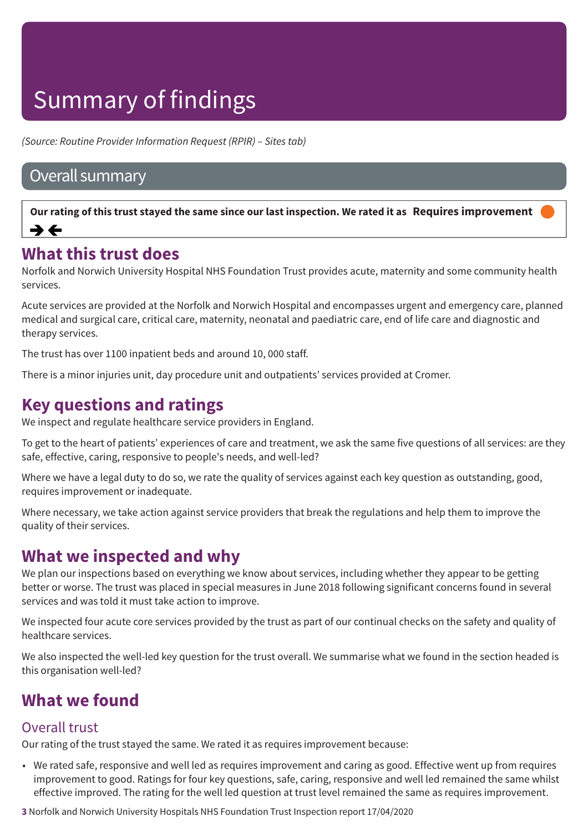*(Source: Routine Provider Information Request (RPIR) – Sites tab)*

### Overall summary

Our rating of this trust stayed the same since our last inspection. We rated it as Requires improvement  $\rightarrow$   $\leftarrow$ 

### **What this trust does**

Norfolk and Norwich University Hospital NHS Foundation Trust provides acute, maternity and some community health services.

Acute services are provided at the Norfolk and Norwich Hospital and encompasses urgent and emergency care, planned medical and surgical care, critical care, maternity, neonatal and paediatric care, end of life care and diagnostic and therapy services.

The trust has over 1100 inpatient beds and around 10, 000 staff.

There is a minor injuries unit, day procedure unit and outpatients' services provided at Cromer.

### **Key questions and ratings**

We inspect and regulate healthcare service providers in England.

To get to the heart of patients' experiences of care and treatment, we ask the same five questions of all services: are they safe, effective, caring, responsive to people's needs, and well-led?

Where we have a legal duty to do so, we rate the quality of services against each key question as outstanding, good, requires improvement or inadequate.

Where necessary, we take action against service providers that break the regulations and help them to improve the quality of their services.

### **What we inspected and why**

We plan our inspections based on everything we know about services, including whether they appear to be getting better or worse. The trust was placed in special measures in June 2018 following significant concerns found in several services and was told it must take action to improve.

We inspected four acute core services provided by the trust as part of our continual checks on the safety and quality of healthcare services.

We also inspected the well-led key question for the trust overall. We summarise what we found in the section headed is this organisation well-led?

### **What we found**

### Overall trust

Our rating of the trust stayed the same. We rated it as requires improvement because:

• We rated safe, responsive and well led as requires improvement and caring as good. Effective went up from requires improvement to good. Ratings for four key questions, safe, caring, responsive and well led remained the same whilst effective improved. The rating for the well led question at trust level remained the same as requires improvement.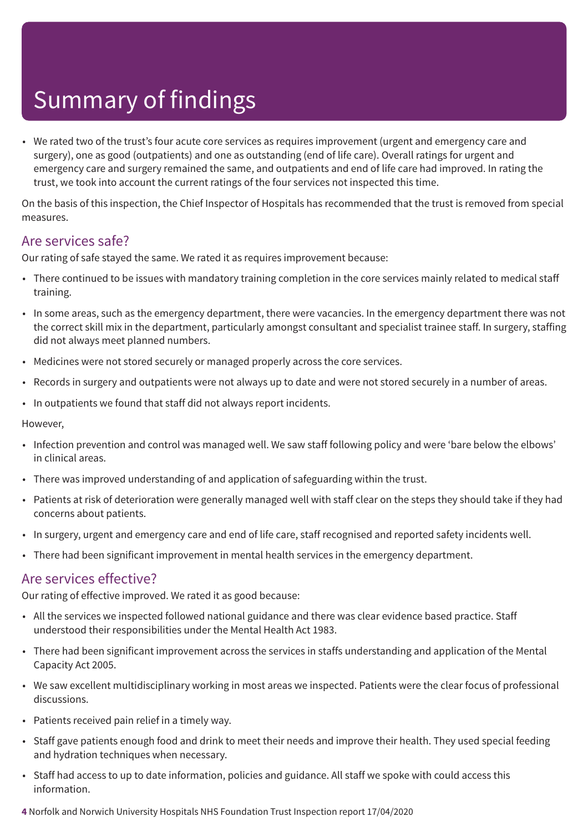• We rated two of the trust's four acute core services as requires improvement (urgent and emergency care and surgery), one as good (outpatients) and one as outstanding (end of life care). Overall ratings for urgent and emergency care and surgery remained the same, and outpatients and end of life care had improved. In rating the trust, we took into account the current ratings of the four services not inspected this time.

On the basis of this inspection, the Chief Inspector of Hospitals has recommended that the trust is removed from special measures.

### Are services safe?

Our rating of safe stayed the same. We rated it as requires improvement because:

- There continued to be issues with mandatory training completion in the core services mainly related to medical staff training.
- In some areas, such as the emergency department, there were vacancies. In the emergency department there was not the correct skill mix in the department, particularly amongst consultant and specialist trainee staff. In surgery, staffing did not always meet planned numbers.
- Medicines were not stored securely or managed properly across the core services.
- Records in surgery and outpatients were not always up to date and were not stored securely in a number of areas.
- In outpatients we found that staff did not always report incidents.

However,

- Infection prevention and control was managed well. We saw staff following policy and were 'bare below the elbows' in clinical areas.
- There was improved understanding of and application of safeguarding within the trust.
- Patients at risk of deterioration were generally managed well with staff clear on the steps they should take if they had concerns about patients.
- In surgery, urgent and emergency care and end of life care, staff recognised and reported safety incidents well.
- There had been significant improvement in mental health services in the emergency department.

### Are services effective?

Our rating of effective improved. We rated it as good because:

- All the services we inspected followed national guidance and there was clear evidence based practice. Staff understood their responsibilities under the Mental Health Act 1983.
- There had been significant improvement across the services in staffs understanding and application of the Mental Capacity Act 2005.
- We saw excellent multidisciplinary working in most areas we inspected. Patients were the clear focus of professional discussions.
- Patients received pain relief in a timely way.
- Staff gave patients enough food and drink to meet their needs and improve their health. They used special feeding and hydration techniques when necessary.
- Staff had access to up to date information, policies and guidance. All staff we spoke with could access this information.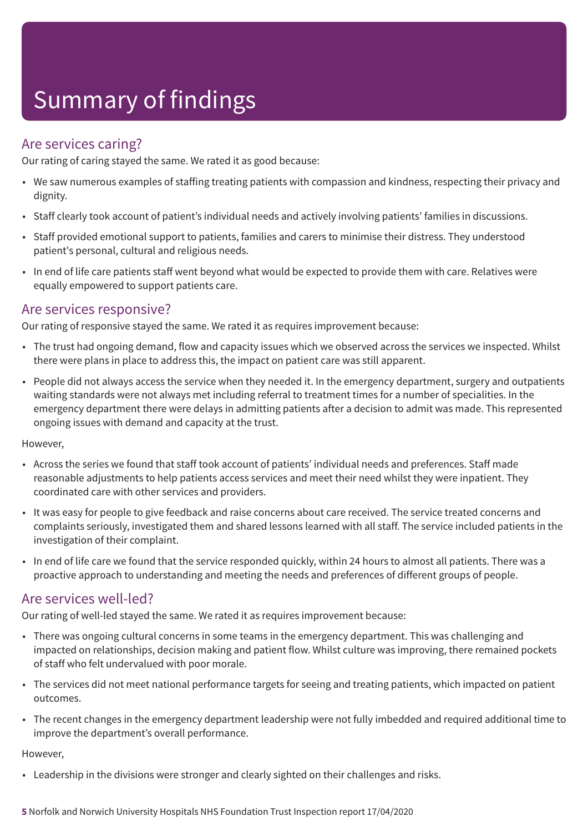### Are services caring?

Our rating of caring stayed the same. We rated it as good because:

- We saw numerous examples of staffing treating patients with compassion and kindness, respecting their privacy and dignity.
- Staff clearly took account of patient's individual needs and actively involving patients' families in discussions.
- Staff provided emotional support to patients, families and carers to minimise their distress. They understood patient's personal, cultural and religious needs.
- In end of life care patients staff went beyond what would be expected to provide them with care. Relatives were equally empowered to support patients care.

### Are services responsive?

Our rating of responsive stayed the same. We rated it as requires improvement because:

- The trust had ongoing demand, flow and capacity issues which we observed across the services we inspected. Whilst there were plans in place to address this, the impact on patient care was still apparent.
- People did not always access the service when they needed it. In the emergency department, surgery and outpatients waiting standards were not always met including referral to treatment times for a number of specialities. In the emergency department there were delays in admitting patients after a decision to admit was made. This represented ongoing issues with demand and capacity at the trust.

#### However,

- Across the series we found that staff took account of patients' individual needs and preferences. Staff made reasonable adjustments to help patients access services and meet their need whilst they were inpatient. They coordinated care with other services and providers.
- It was easy for people to give feedback and raise concerns about care received. The service treated concerns and complaints seriously, investigated them and shared lessons learned with all staff. The service included patients in the investigation of their complaint.
- In end of life care we found that the service responded quickly, within 24 hours to almost all patients. There was a proactive approach to understanding and meeting the needs and preferences of different groups of people.

### Are services well-led?

Our rating of well-led stayed the same. We rated it as requires improvement because:

- There was ongoing cultural concerns in some teams in the emergency department. This was challenging and impacted on relationships, decision making and patient flow. Whilst culture was improving, there remained pockets of staff who felt undervalued with poor morale.
- The services did not meet national performance targets for seeing and treating patients, which impacted on patient outcomes.
- The recent changes in the emergency department leadership were not fully imbedded and required additional time to improve the department's overall performance.

#### However,

• Leadership in the divisions were stronger and clearly sighted on their challenges and risks.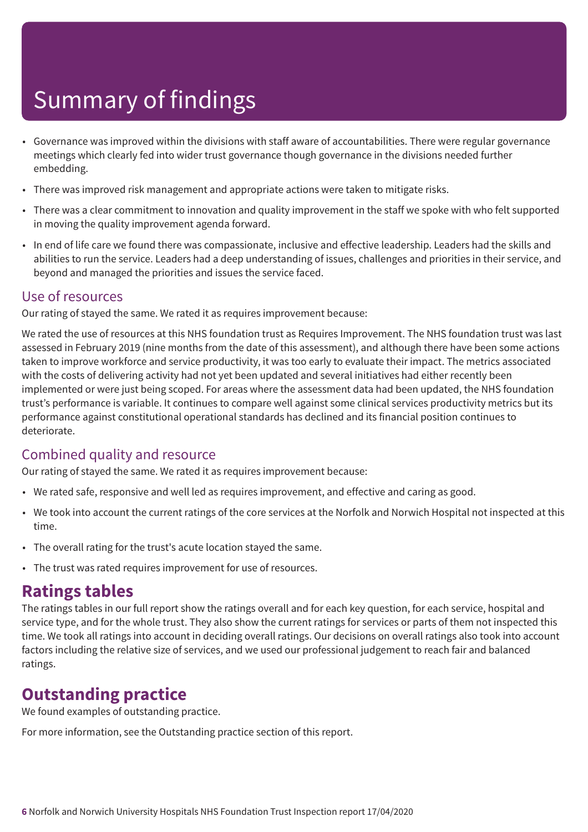- Governance was improved within the divisions with staff aware of accountabilities. There were regular governance meetings which clearly fed into wider trust governance though governance in the divisions needed further embedding.
- There was improved risk management and appropriate actions were taken to mitigate risks.
- There was a clear commitment to innovation and quality improvement in the staff we spoke with who felt supported in moving the quality improvement agenda forward.
- In end of life care we found there was compassionate, inclusive and effective leadership. Leaders had the skills and abilities to run the service. Leaders had a deep understanding of issues, challenges and priorities in their service, and beyond and managed the priorities and issues the service faced.

### Use of resources

Our rating of stayed the same. We rated it as requires improvement because:

We rated the use of resources at this NHS foundation trust as Requires Improvement. The NHS foundation trust was last assessed in February 2019 (nine months from the date of this assessment), and although there have been some actions taken to improve workforce and service productivity, it was too early to evaluate their impact. The metrics associated with the costs of delivering activity had not yet been updated and several initiatives had either recently been implemented or were just being scoped. For areas where the assessment data had been updated, the NHS foundation trust's performance is variable. It continues to compare well against some clinical services productivity metrics but its performance against constitutional operational standards has declined and its financial position continues to deteriorate.

### Combined quality and resource

Our rating of stayed the same. We rated it as requires improvement because:

- We rated safe, responsive and well led as requires improvement, and effective and caring as good.
- We took into account the current ratings of the core services at the Norfolk and Norwich Hospital not inspected at this time.
- The overall rating for the trust's acute location stayed the same.
- The trust was rated requires improvement for use of resources.

### **Ratings tables**

The ratings tables in our full report show the ratings overall and for each key question, for each service, hospital and service type, and for the whole trust. They also show the current ratings for services or parts of them not inspected this time. We took all ratings into account in deciding overall ratings. Our decisions on overall ratings also took into account factors including the relative size of services, and we used our professional judgement to reach fair and balanced ratings.

### **Outstanding practice**

We found examples of outstanding practice.

For more information, see the Outstanding practice section of this report.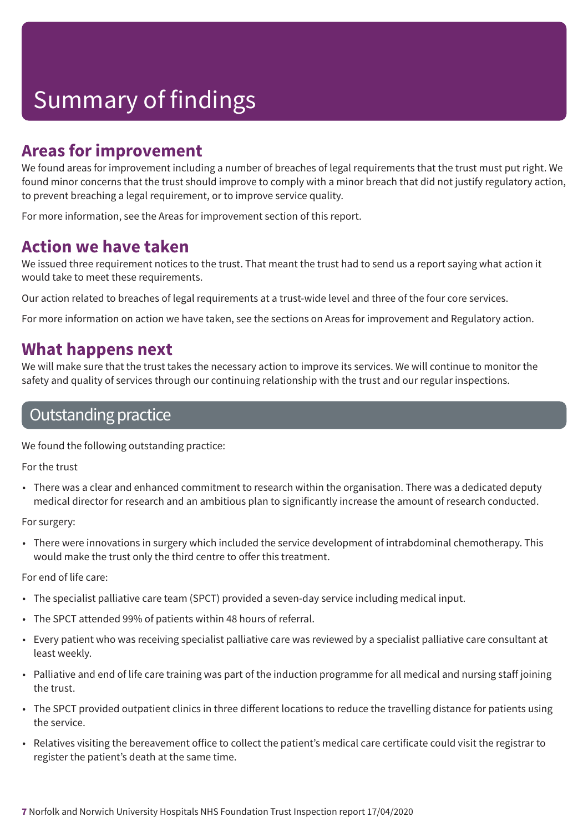### **Areas for improvement**

We found areas for improvement including a number of breaches of legal requirements that the trust must put right. We found minor concerns that the trust should improve to comply with a minor breach that did not justify regulatory action, to prevent breaching a legal requirement, or to improve service quality.

For more information, see the Areas for improvement section of this report.

### **Action we have taken**

We issued three requirement notices to the trust. That meant the trust had to send us a report saying what action it would take to meet these requirements.

Our action related to breaches of legal requirements at a trust-wide level and three of the four core services.

For more information on action we have taken, see the sections on Areas for improvement and Regulatory action.

### **What happens next**

We will make sure that the trust takes the necessary action to improve its services. We will continue to monitor the safety and quality of services through our continuing relationship with the trust and our regular inspections.

### Outstanding practice

We found the following outstanding practice:

For the trust

• There was a clear and enhanced commitment to research within the organisation. There was a dedicated deputy medical director for research and an ambitious plan to significantly increase the amount of research conducted.

For surgery:

• There were innovations in surgery which included the service development of intrabdominal chemotherapy. This would make the trust only the third centre to offer this treatment.

For end of life care:

- The specialist palliative care team (SPCT) provided a seven-day service including medical input.
- The SPCT attended 99% of patients within 48 hours of referral.
- Every patient who was receiving specialist palliative care was reviewed by a specialist palliative care consultant at least weekly.
- Palliative and end of life care training was part of the induction programme for all medical and nursing staff joining the trust.
- The SPCT provided outpatient clinics in three different locations to reduce the travelling distance for patients using the service.
- Relatives visiting the bereavement office to collect the patient's medical care certificate could visit the registrar to register the patient's death at the same time.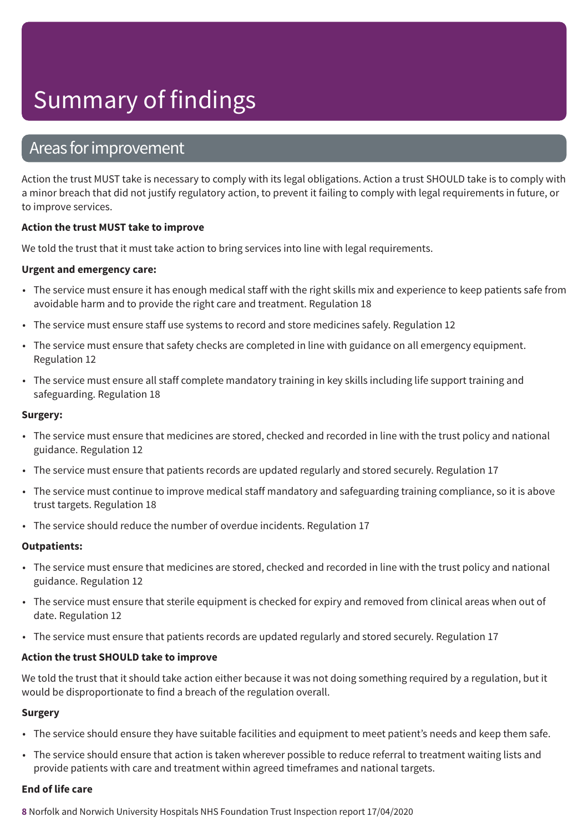### Areas forimprovement

Action the trust MUST take is necessary to comply with its legal obligations. Action a trust SHOULD take is to comply with a minor breach that did not justify regulatory action, to prevent it failing to comply with legal requirements in future, or to improve services.

### **Action the trust MUST take to improve**

We told the trust that it must take action to bring services into line with legal requirements.

### **Urgent and emergency care:**

- The service must ensure it has enough medical staff with the right skills mix and experience to keep patients safe from avoidable harm and to provide the right care and treatment. Regulation 18
- The service must ensure staff use systems to record and store medicines safely. Regulation 12
- The service must ensure that safety checks are completed in line with guidance on all emergency equipment. Regulation 12
- The service must ensure all staff complete mandatory training in key skills including life support training and safeguarding. Regulation 18

#### **Surgery:**

- The service must ensure that medicines are stored, checked and recorded in line with the trust policy and national guidance. Regulation 12
- The service must ensure that patients records are updated regularly and stored securely. Regulation 17
- The service must continue to improve medical staff mandatory and safeguarding training compliance, so it is above trust targets. Regulation 18
- The service should reduce the number of overdue incidents. Regulation 17

#### **Outpatients:**

- The service must ensure that medicines are stored, checked and recorded in line with the trust policy and national guidance. Regulation 12
- The service must ensure that sterile equipment is checked for expiry and removed from clinical areas when out of date. Regulation 12
- The service must ensure that patients records are updated regularly and stored securely. Regulation 17

#### **Action the trust SHOULD take to improve**

We told the trust that it should take action either because it was not doing something required by a regulation, but it would be disproportionate to find a breach of the regulation overall.

#### **Surgery**

- The service should ensure they have suitable facilities and equipment to meet patient's needs and keep them safe.
- The service should ensure that action is taken wherever possible to reduce referral to treatment waiting lists and provide patients with care and treatment within agreed timeframes and national targets.

#### **End of life care**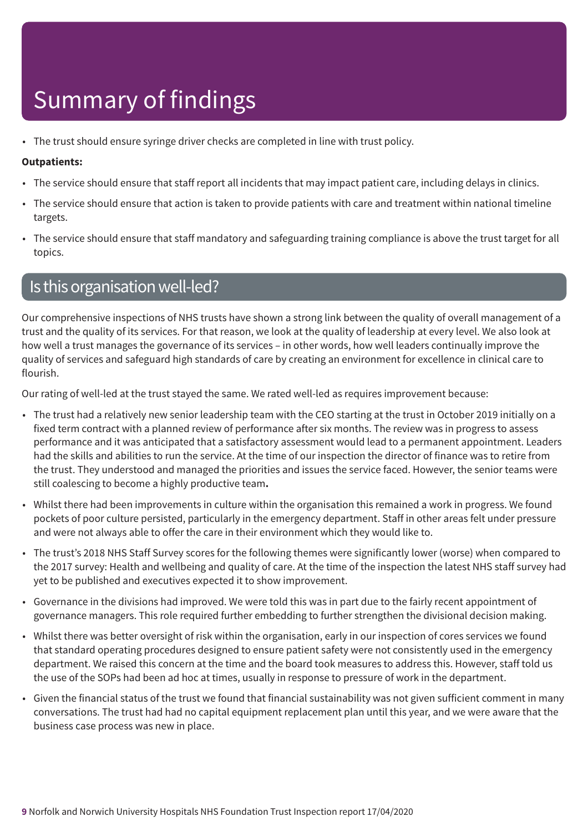• The trust should ensure syringe driver checks are completed in line with trust policy.

#### **Outpatients:**

- The service should ensure that staff report all incidents that may impact patient care, including delays in clinics.
- The service should ensure that action is taken to provide patients with care and treatment within national timeline targets.
- The service should ensure that staff mandatory and safeguarding training compliance is above the trust target for all topics.

### Is this organisation well-led?

Our comprehensive inspections of NHS trusts have shown a strong link between the quality of overall management of a trust and the quality of its services. For that reason, we look at the quality of leadership at every level. We also look at how well a trust manages the governance of its services – in other words, how well leaders continually improve the quality of services and safeguard high standards of care by creating an environment for excellence in clinical care to flourish.

Our rating of well-led at the trust stayed the same. We rated well-led as requires improvement because:

- The trust had a relatively new senior leadership team with the CEO starting at the trust in October 2019 initially on a fixed term contract with a planned review of performance after six months. The review was in progress to assess performance and it was anticipated that a satisfactory assessment would lead to a permanent appointment. Leaders had the skills and abilities to run the service. At the time of our inspection the director of finance was to retire from the trust. They understood and managed the priorities and issues the service faced. However, the senior teams were still coalescing to become a highly productive team**.**
- Whilst there had been improvements in culture within the organisation this remained a work in progress. We found pockets of poor culture persisted, particularly in the emergency department. Staff in other areas felt under pressure and were not always able to offer the care in their environment which they would like to.
- The trust's 2018 NHS Staff Survey scores for the following themes were significantly lower (worse) when compared to the 2017 survey: Health and wellbeing and quality of care. At the time of the inspection the latest NHS staff survey had yet to be published and executives expected it to show improvement.
- Governance in the divisions had improved. We were told this was in part due to the fairly recent appointment of governance managers. This role required further embedding to further strengthen the divisional decision making.
- Whilst there was better oversight of risk within the organisation, early in our inspection of cores services we found that standard operating procedures designed to ensure patient safety were not consistently used in the emergency department. We raised this concern at the time and the board took measures to address this. However, staff told us the use of the SOPs had been ad hoc at times, usually in response to pressure of work in the department.
- Given the financial status of the trust we found that financial sustainability was not given sufficient comment in many conversations. The trust had had no capital equipment replacement plan until this year, and we were aware that the business case process was new in place.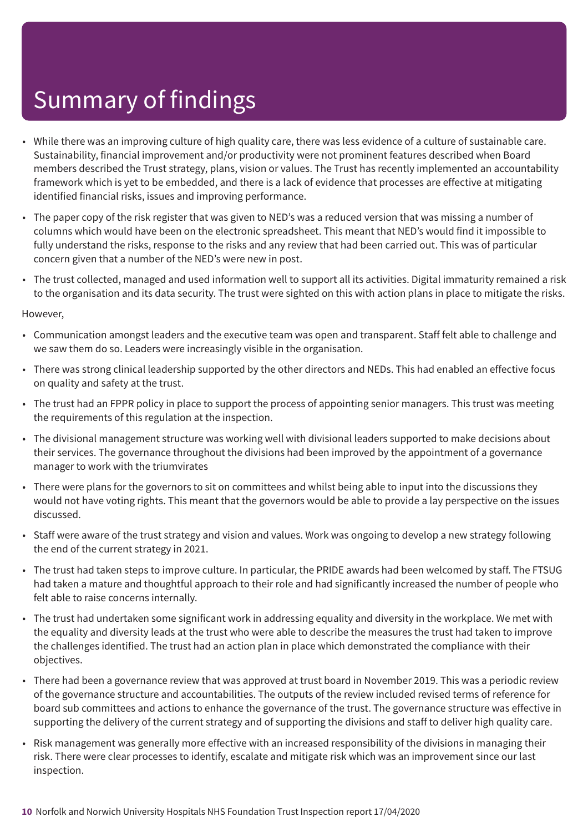- While there was an improving culture of high quality care, there was less evidence of a culture of sustainable care. Sustainability, financial improvement and/or productivity were not prominent features described when Board members described the Trust strategy, plans, vision or values. The Trust has recently implemented an accountability framework which is yet to be embedded, and there is a lack of evidence that processes are effective at mitigating identified financial risks, issues and improving performance.
- The paper copy of the risk register that was given to NED's was a reduced version that was missing a number of columns which would have been on the electronic spreadsheet. This meant that NED's would find it impossible to fully understand the risks, response to the risks and any review that had been carried out. This was of particular concern given that a number of the NED's were new in post.
- The trust collected, managed and used information well to support all its activities. Digital immaturity remained a risk to the organisation and its data security. The trust were sighted on this with action plans in place to mitigate the risks.

#### However,

- Communication amongst leaders and the executive team was open and transparent. Staff felt able to challenge and we saw them do so. Leaders were increasingly visible in the organisation.
- There was strong clinical leadership supported by the other directors and NEDs. This had enabled an effective focus on quality and safety at the trust.
- The trust had an FPPR policy in place to support the process of appointing senior managers. This trust was meeting the requirements of this regulation at the inspection.
- The divisional management structure was working well with divisional leaders supported to make decisions about their services. The governance throughout the divisions had been improved by the appointment of a governance manager to work with the triumvirates
- There were plans for the governors to sit on committees and whilst being able to input into the discussions they would not have voting rights. This meant that the governors would be able to provide a lay perspective on the issues discussed.
- Staff were aware of the trust strategy and vision and values. Work was ongoing to develop a new strategy following the end of the current strategy in 2021.
- The trust had taken steps to improve culture. In particular, the PRIDE awards had been welcomed by staff. The FTSUG had taken a mature and thoughtful approach to their role and had significantly increased the number of people who felt able to raise concerns internally.
- The trust had undertaken some significant work in addressing equality and diversity in the workplace. We met with the equality and diversity leads at the trust who were able to describe the measures the trust had taken to improve the challenges identified. The trust had an action plan in place which demonstrated the compliance with their objectives.
- There had been a governance review that was approved at trust board in November 2019. This was a periodic review of the governance structure and accountabilities. The outputs of the review included revised terms of reference for board sub committees and actions to enhance the governance of the trust. The governance structure was effective in supporting the delivery of the current strategy and of supporting the divisions and staff to deliver high quality care.
- Risk management was generally more effective with an increased responsibility of the divisions in managing their risk. There were clear processes to identify, escalate and mitigate risk which was an improvement since our last inspection.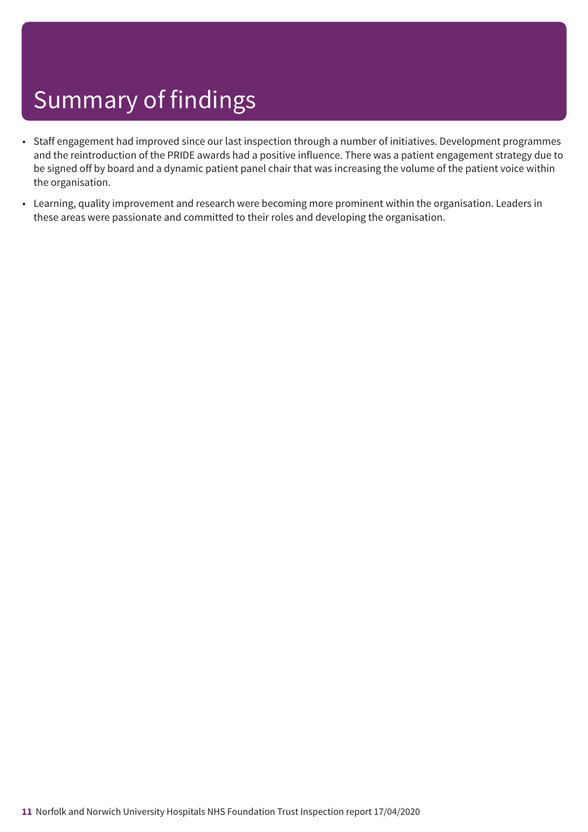- Staff engagement had improved since our last inspection through a number of initiatives. Development programmes and the reintroduction of the PRIDE awards had a positive influence. There was a patient engagement strategy due to be signed off by board and a dynamic patient panel chair that was increasing the volume of the patient voice within the organisation.
- Learning, quality improvement and research were becoming more prominent within the organisation. Leaders in these areas were passionate and committed to their roles and developing the organisation.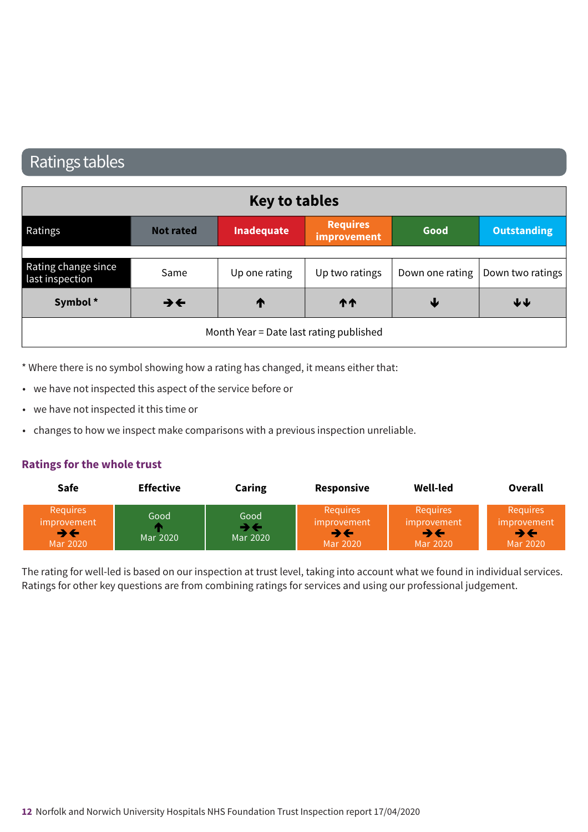### Ratings tables

| <b>Key to tables</b>                   |                          |                                         |                                |      |                                    |
|----------------------------------------|--------------------------|-----------------------------------------|--------------------------------|------|------------------------------------|
| Ratings                                | <b>Not rated</b>         | Inadequate                              | <b>Requires</b><br>improvement | Good | <b>Outstanding</b>                 |
|                                        |                          |                                         |                                |      |                                    |
| Rating change since<br>last inspection | Same                     | Up one rating                           | Up two ratings                 |      | Down one rating   Down two ratings |
| Symbol*                                | $\rightarrow \leftarrow$ | ↑                                       | <b>11</b>                      | ₩    | $\blacklozenge \blacklozenge$      |
|                                        |                          | Month Year = Date last rating published |                                |      |                                    |

\* Where there is no symbol showing how a rating has changed, it means either that:

- we have not inspected this aspect of the service before or
- we have not inspected it this time or
- changes to how we inspect make comparisons with a previous inspection unreliable.

#### **Ratings for the whole trust**

| <b>Safe</b>                                      | <b>Effective</b> | Caring           | Responsive                                | Well-led                                         | Overall                                    |
|--------------------------------------------------|------------------|------------------|-------------------------------------------|--------------------------------------------------|--------------------------------------------|
| <b>Requires</b><br>improvement<br>∍←<br>Mar 2020 | Good<br>Mar 2020 | Good<br>Mar 2020 | Requires<br>improvement<br>→←<br>Mar 2020 | <b>Requires</b><br>improvement<br>→←<br>Mar 2020 | <b>Requires</b><br>improvement<br>Mar 2020 |

The rating for well-led is based on our inspection at trust level, taking into account what we found in individual services. Ratings for other key questions are from combining ratings for services and using our professional judgement.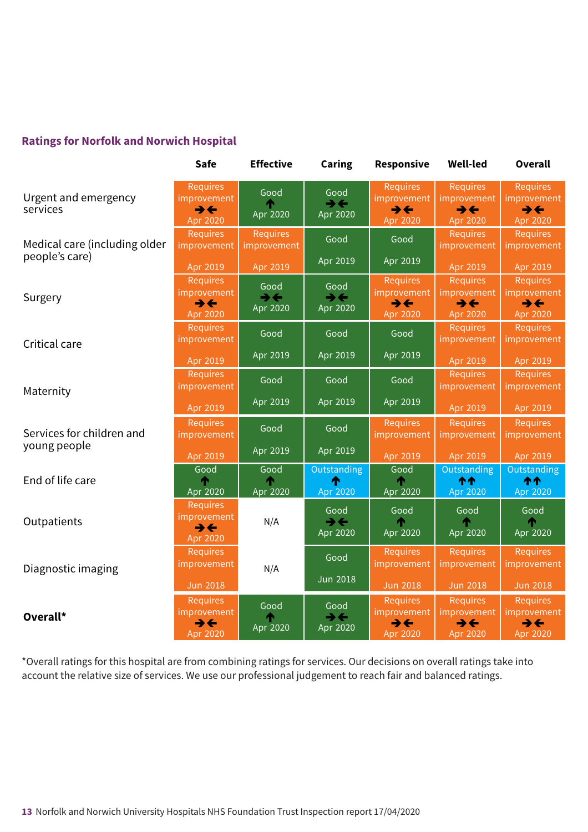### **Ratings for Norfolk and Norwich Hospital**

|                                  |                                                                        | <b>Effective</b>                               | <b>Caring</b>                                | <b>Responsive</b>                                                             | <b>Well-led</b>                                                        | <b>Overall</b>                                                         |
|----------------------------------|------------------------------------------------------------------------|------------------------------------------------|----------------------------------------------|-------------------------------------------------------------------------------|------------------------------------------------------------------------|------------------------------------------------------------------------|
| Urgent and emergency<br>services | <b>Requires</b><br>improvement<br>$\rightarrow \leftarrow$<br>Apr 2020 | Good<br>Apr 2020                               | Good<br>$\rightarrow \leftarrow$<br>Apr 2020 | <b>Requires</b><br>improvement<br>$\rightarrow \leftarrow$<br>Apr 2020        | <b>Requires</b><br>improvement<br>$\rightarrow \leftarrow$<br>Apr 2020 | Requires<br><b>improvement</b><br>$\rightarrow \leftarrow$<br>Apr 2020 |
| Medical care (including older    | <b>Requires</b><br>improvement                                         | <b>Requires</b><br>improvement                 | Good                                         | Good                                                                          | Requires<br>improvement                                                | <b>Requires</b><br>improvement                                         |
| people's care)                   | Apr 2019                                                               | Apr 2019                                       | Apr 2019                                     | Apr 2019                                                                      | Apr 2019                                                               | Apr 2019                                                               |
| Surgery                          | <b>Requires</b><br>improvement<br>$\rightarrow \leftarrow$<br>Apr 2020 | Good<br>$\rightarrow$ $\leftarrow$<br>Apr 2020 | Good<br>$\rightarrow \leftarrow$<br>Apr 2020 | <b>Requires</b><br><i>improvement</i><br>$\rightarrow \leftarrow$<br>Apr 2020 | Requires<br>improvement<br>$\rightarrow \leftarrow$<br>Apr 2020        | Requires<br>improvement<br>$\rightarrow \leftarrow$<br>Apr 2020        |
| Critical care                    | <b>Requires</b><br>improvement                                         | Good                                           | Good                                         | Good                                                                          | Requires<br>improvement                                                | Requires<br>improvement                                                |
|                                  | Apr 2019                                                               | Apr 2019                                       | Apr 2019                                     | Apr 2019                                                                      | Apr 2019                                                               | Apr 2019                                                               |
| Maternity                        | <b>Requires</b><br>improvement                                         | Good                                           | Good                                         | Good                                                                          | Requires<br>improvement                                                | Requires<br>improvement                                                |
|                                  | Apr 2019                                                               | Apr 2019                                       | Apr 2019                                     | Apr 2019                                                                      | Apr 2019                                                               | Apr 2019                                                               |
| Services for children and        | <b>Requires</b><br>improvement                                         | Good                                           | Good                                         | <b>Requires</b><br>improvement                                                | Requires<br>improvement                                                | <b>Requires</b><br>improvement                                         |
| young people                     | Apr 2019                                                               | Apr 2019                                       | Apr 2019                                     | Apr 2019                                                                      | Apr 2019                                                               | Apr 2019                                                               |
| End of life care                 | Good<br>Apr 2020                                                       | Good<br>♠<br>Apr 2020                          | Outstanding<br>⋔<br>Apr 2020                 | Good<br>́↑<br>Apr 2020                                                        | Outstanding<br>个个<br>Apr 2020                                          | Outstanding<br><b>11</b><br>Apr 2020                                   |
| Outpatients                      | <b>Requires</b><br>improvement<br>$\rightarrow \leftarrow$<br>Apr 2020 | N/A                                            | Good<br>$\rightarrow \leftarrow$<br>Apr 2020 | Good<br>Apr 2020                                                              | Good<br>Apr 2020                                                       | Good<br>Apr 2020                                                       |
| Diagnostic imaging               | <b>Requires</b><br>improvement                                         | N/A                                            | Good                                         | Requires<br>improvement                                                       | Requires<br>improvement                                                | Requires<br>improvement                                                |
|                                  | <b>Jun 2018</b>                                                        |                                                | <b>Jun 2018</b>                              | <b>Jun 2018</b>                                                               | <b>Jun 2018</b>                                                        | <b>Jun 2018</b>                                                        |
| Overall*                         | <b>Requires</b><br>improvement<br>$\rightarrow \leftarrow$<br>Apr 2020 | Good<br>Apr 2020                               | Good<br>$\rightarrow$<br>Apr 2020            | Requires<br>improvement<br>$\rightarrow \leftarrow$<br>Apr 2020               | Requires<br>improvement<br>$\rightarrow \leftarrow$<br>Apr 2020        | Requires<br>improvement<br>$\rightarrow \leftarrow$<br>Apr 2020        |

\*Overall ratings for this hospital are from combining ratings for services. Our decisions on overall ratings take into account the relative size of services. We use our professional judgement to reach fair and balanced ratings.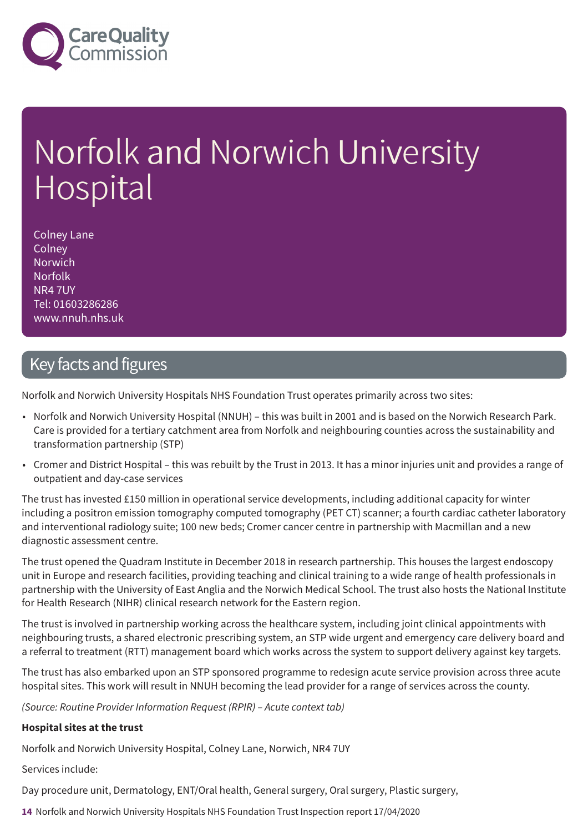

# Norfolk and Norwich University Hospital

Colney Lane **Colney** Norwich Norfolk NR4 7UY Tel: 01603286286 www.nnuh.nhs.uk

### Key facts and figures

Norfolk and Norwich University Hospitals NHS Foundation Trust operates primarily across two sites:

- Norfolk and Norwich University Hospital (NNUH) this was built in 2001 and is based on the Norwich Research Park. Care is provided for a tertiary catchment area from Norfolk and neighbouring counties across the sustainability and transformation partnership (STP)
- Cromer and District Hospital this was rebuilt by the Trust in 2013. It has a minor injuries unit and provides a range of outpatient and day-case services

The trust has invested £150 million in operational service developments, including additional capacity for winter including a positron emission tomography computed tomography (PET CT) scanner; a fourth cardiac catheter laboratory and interventional radiology suite; 100 new beds; Cromer cancer centre in partnership with Macmillan and a new diagnostic assessment centre.

The trust opened the Quadram Institute in December 2018 in research partnership. This houses the largest endoscopy unit in Europe and research facilities, providing teaching and clinical training to a wide range of health professionals in partnership with the University of East Anglia and the Norwich Medical School. The trust also hosts the National Institute for Health Research (NIHR) clinical research network for the Eastern region.

The trust is involved in partnership working across the healthcare system, including joint clinical appointments with neighbouring trusts, a shared electronic prescribing system, an STP wide urgent and emergency care delivery board and a referral to treatment (RTT) management board which works across the system to support delivery against key targets.

The trust has also embarked upon an STP sponsored programme to redesign acute service provision across three acute hospital sites. This work will result in NNUH becoming the lead provider for a range of services across the county.

*(Source: Routine Provider Information Request (RPIR) – Acute context tab)*

#### **Hospital sites at the trust**

Norfolk and Norwich University Hospital, Colney Lane, Norwich, NR4 7UY

Services include:

Day procedure unit, Dermatology, ENT/Oral health, General surgery, Oral surgery, Plastic surgery,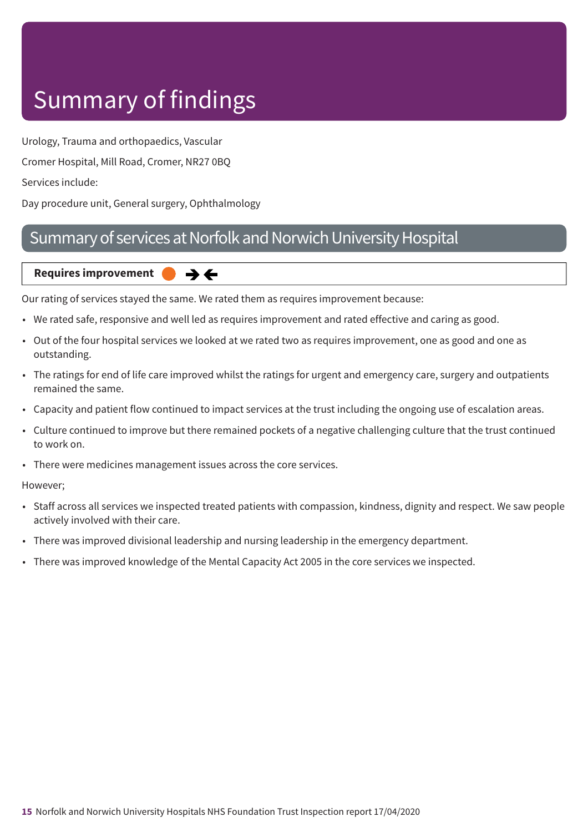Urology, Trauma and orthopaedics, Vascular

Cromer Hospital, Mill Road, Cromer, NR27 0BQ

Services include:

Day procedure unit, General surgery, Ophthalmology

### Summary of services at Norfolk and Norwich University Hospital

#### **Requires improvement** →←

Our rating of services stayed the same. We rated them as requires improvement because:

- We rated safe, responsive and well led as requires improvement and rated effective and caring as good.
- Out of the four hospital services we looked at we rated two as requires improvement, one as good and one as outstanding.
- The ratings for end of life care improved whilst the ratings for urgent and emergency care, surgery and outpatients remained the same.
- Capacity and patient flow continued to impact services at the trust including the ongoing use of escalation areas.
- Culture continued to improve but there remained pockets of a negative challenging culture that the trust continued to work on.
- There were medicines management issues across the core services.

However;

- Staff across all services we inspected treated patients with compassion, kindness, dignity and respect. We saw people actively involved with their care.
- There was improved divisional leadership and nursing leadership in the emergency department.
- There was improved knowledge of the Mental Capacity Act 2005 in the core services we inspected.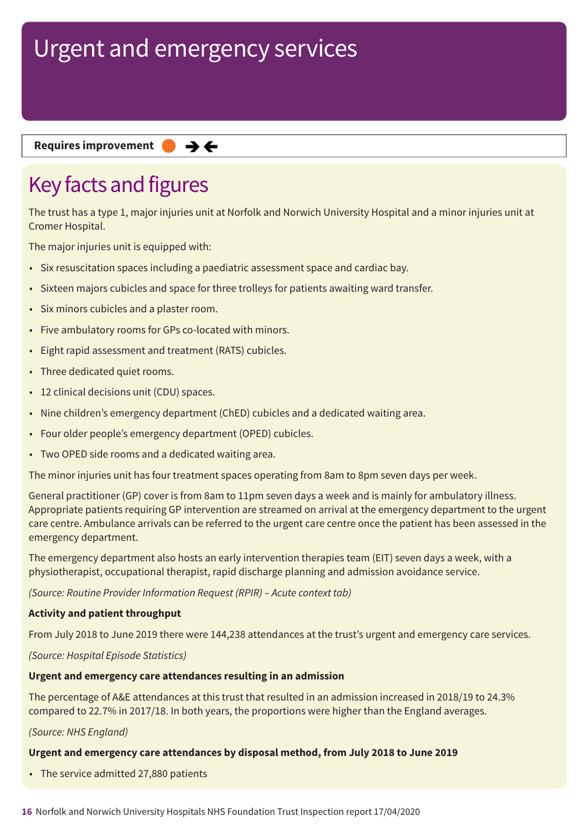**Requires improvement**  $\rightarrow$   $\leftarrow$ 

## Key facts and figures

The trust has a type 1, major injuries unit at Norfolk and Norwich University Hospital and a minor injuries unit at Cromer Hospital.

The major injuries unit is equipped with:

- Six resuscitation spaces including a paediatric assessment space and cardiac bay.
- Sixteen majors cubicles and space for three trolleys for patients awaiting ward transfer.
- Six minors cubicles and a plaster room.
- Five ambulatory rooms for GPs co-located with minors.
- Eight rapid assessment and treatment (RATS) cubicles.
- Three dedicated quiet rooms.
- 12 clinical decisions unit (CDU) spaces.
- Nine children's emergency department (ChED) cubicles and a dedicated waiting area.
- Four older people's emergency department (OPED) cubicles.
- Two OPED side rooms and a dedicated waiting area.

The minor injuries unit has four treatment spaces operating from 8am to 8pm seven days per week.

General practitioner (GP) cover is from 8am to 11pm seven days a week and is mainly for ambulatory illness. Appropriate patients requiring GP intervention are streamed on arrival at the emergency department to the urgent care centre. Ambulance arrivals can be referred to the urgent care centre once the patient has been assessed in the emergency department.

The emergency department also hosts an early intervention therapies team (EIT) seven days a week, with a physiotherapist, occupational therapist, rapid discharge planning and admission avoidance service.

*(Source: Routine Provider Information Request (RPIR) – Acute context tab)*

#### **Activity and patient throughput**

From July 2018 to June 2019 there were 144,238 attendances at the trust's urgent and emergency care services.

*(Source: Hospital Episode Statistics)*

#### **Urgent and emergency care attendances resulting in an admission**

The percentage of A&E attendances at this trust that resulted in an admission increased in 2018/19 to 24.3% compared to 22.7% in 2017/18. In both years, the proportions were higher than the England averages.

*(Source: NHS England)*

#### **Urgent and emergency care attendances by disposal method, from July 2018 to June 2019**

• The service admitted 27,880 patients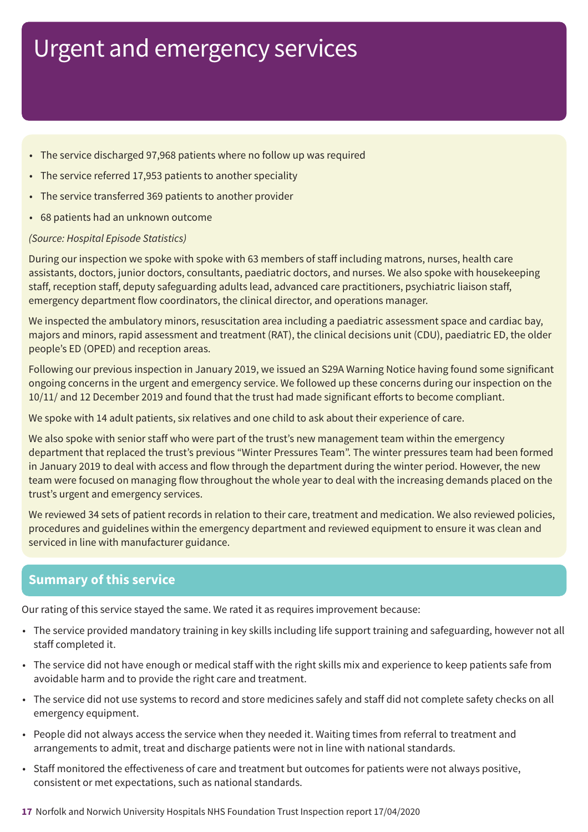- The service discharged 97,968 patients where no follow up was required
- The service referred 17,953 patients to another speciality
- The service transferred 369 patients to another provider
- 68 patients had an unknown outcome

### *(Source: Hospital Episode Statistics)*

During our inspection we spoke with spoke with 63 members of staff including matrons, nurses, health care assistants, doctors, junior doctors, consultants, paediatric doctors, and nurses. We also spoke with housekeeping staff, reception staff, deputy safeguarding adults lead, advanced care practitioners, psychiatric liaison staff, emergency department flow coordinators, the clinical director, and operations manager.

We inspected the ambulatory minors, resuscitation area including a paediatric assessment space and cardiac bay, majors and minors, rapid assessment and treatment (RAT), the clinical decisions unit (CDU), paediatric ED, the older people's ED (OPED) and reception areas.

Following our previous inspection in January 2019, we issued an S29A Warning Notice having found some significant ongoing concerns in the urgent and emergency service. We followed up these concerns during our inspection on the 10/11/ and 12 December 2019 and found that the trust had made significant efforts to become compliant.

We spoke with 14 adult patients, six relatives and one child to ask about their experience of care.

We also spoke with senior staff who were part of the trust's new management team within the emergency department that replaced the trust's previous "Winter Pressures Team". The winter pressures team had been formed in January 2019 to deal with access and flow through the department during the winter period. However, the new team were focused on managing flow throughout the whole year to deal with the increasing demands placed on the trust's urgent and emergency services.

We reviewed 34 sets of patient records in relation to their care, treatment and medication. We also reviewed policies, procedures and guidelines within the emergency department and reviewed equipment to ensure it was clean and serviced in line with manufacturer guidance.

### **Summary of this service**

Our rating of this service stayed the same. We rated it as requires improvement because:

- The service provided mandatory training in key skills including life support training and safeguarding, however not all staff completed it.
- The service did not have enough or medical staff with the right skills mix and experience to keep patients safe from avoidable harm and to provide the right care and treatment.
- The service did not use systems to record and store medicines safely and staff did not complete safety checks on all emergency equipment.
- People did not always access the service when they needed it. Waiting times from referral to treatment and arrangements to admit, treat and discharge patients were not in line with national standards.
- Staff monitored the effectiveness of care and treatment but outcomes for patients were not always positive, consistent or met expectations, such as national standards.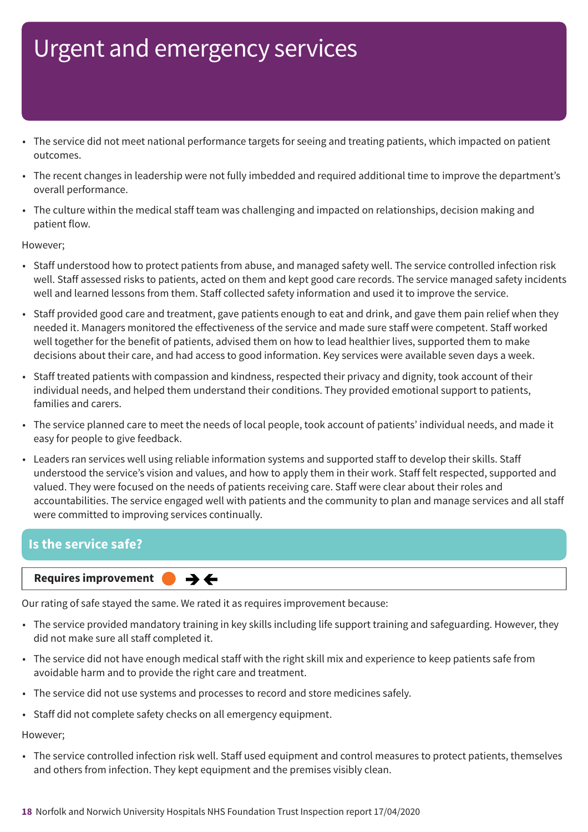- The service did not meet national performance targets for seeing and treating patients, which impacted on patient outcomes.
- The recent changes in leadership were not fully imbedded and required additional time to improve the department's overall performance.
- The culture within the medical staff team was challenging and impacted on relationships, decision making and patient flow.

#### However;

- Staff understood how to protect patients from abuse, and managed safety well. The service controlled infection risk well. Staff assessed risks to patients, acted on them and kept good care records. The service managed safety incidents well and learned lessons from them. Staff collected safety information and used it to improve the service.
- Staff provided good care and treatment, gave patients enough to eat and drink, and gave them pain relief when they needed it. Managers monitored the effectiveness of the service and made sure staff were competent. Staff worked well together for the benefit of patients, advised them on how to lead healthier lives, supported them to make decisions about their care, and had access to good information. Key services were available seven days a week.
- Staff treated patients with compassion and kindness, respected their privacy and dignity, took account of their individual needs, and helped them understand their conditions. They provided emotional support to patients, families and carers.
- The service planned care to meet the needs of local people, took account of patients' individual needs, and made it easy for people to give feedback.
- Leaders ran services well using reliable information systems and supported staff to develop their skills. Staff understood the service's vision and values, and how to apply them in their work. Staff felt respected, supported and valued. They were focused on the needs of patients receiving care. Staff were clear about their roles and accountabilities. The service engaged well with patients and the community to plan and manage services and all staff were committed to improving services continually.

### **Is the service safe?**

#### **Requires improvement**

Our rating of safe stayed the same. We rated it as requires improvement because:

 $\rightarrow$   $\leftarrow$ 

- The service provided mandatory training in key skills including life support training and safeguarding. However, they did not make sure all staff completed it.
- The service did not have enough medical staff with the right skill mix and experience to keep patients safe from avoidable harm and to provide the right care and treatment.
- The service did not use systems and processes to record and store medicines safely.
- Staff did not complete safety checks on all emergency equipment.

#### However;

• The service controlled infection risk well. Staff used equipment and control measures to protect patients, themselves and others from infection. They kept equipment and the premises visibly clean.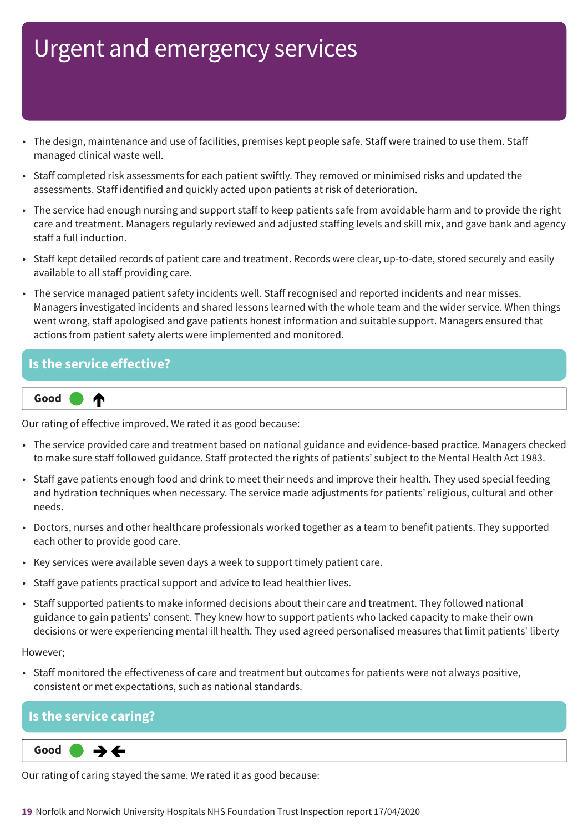- The design, maintenance and use of facilities, premises kept people safe. Staff were trained to use them. Staff managed clinical waste well.
- Staff completed risk assessments for each patient swiftly. They removed or minimised risks and updated the assessments. Staff identified and quickly acted upon patients at risk of deterioration.
- The service had enough nursing and support staff to keep patients safe from avoidable harm and to provide the right care and treatment. Managers regularly reviewed and adjusted staffing levels and skill mix, and gave bank and agency staff a full induction.
- Staff kept detailed records of patient care and treatment. Records were clear, up-to-date, stored securely and easily available to all staff providing care.
- The service managed patient safety incidents well. Staff recognised and reported incidents and near misses. Managers investigated incidents and shared lessons learned with the whole team and the wider service. When things went wrong, staff apologised and gave patients honest information and suitable support. Managers ensured that actions from patient safety alerts were implemented and monitored.

### **Is the service effective?**



Our rating of effective improved. We rated it as good because:

- The service provided care and treatment based on national guidance and evidence-based practice. Managers checked to make sure staff followed guidance. Staff protected the rights of patients' subject to the Mental Health Act 1983.
- Staff gave patients enough food and drink to meet their needs and improve their health. They used special feeding and hydration techniques when necessary. The service made adjustments for patients' religious, cultural and other needs.
- Doctors, nurses and other healthcare professionals worked together as a team to benefit patients. They supported each other to provide good care.
- Key services were available seven days a week to support timely patient care.
- Staff gave patients practical support and advice to lead healthier lives.
- Staff supported patients to make informed decisions about their care and treatment. They followed national guidance to gain patients' consent. They knew how to support patients who lacked capacity to make their own decisions or were experiencing mental ill health. They used agreed personalised measures that limit patients' liberty

However;

• Staff monitored the effectiveness of care and treatment but outcomes for patients were not always positive, consistent or met expectations, such as national standards.

### **Is the service caring?**

 $\rightarrow \leftarrow$ **Same–––rating Good –––**

Our rating of caring stayed the same. We rated it as good because: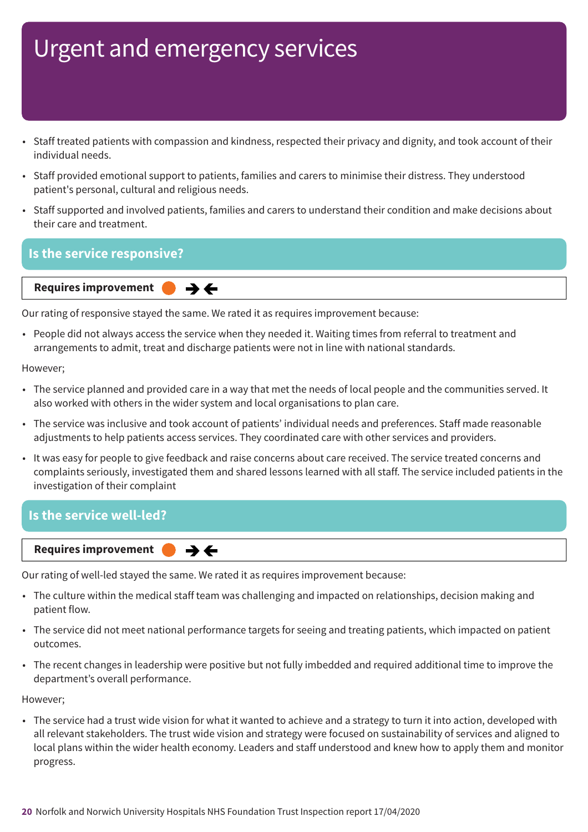- Staff treated patients with compassion and kindness, respected their privacy and dignity, and took account of their individual needs.
- Staff provided emotional support to patients, families and carers to minimise their distress. They understood patient's personal, cultural and religious needs.
- Staff supported and involved patients, families and carers to understand their condition and make decisions about their care and treatment.

### **Is the service responsive?**

**Requires improvement**  $\rightarrow$   $\leftarrow$ 

Our rating of responsive stayed the same. We rated it as requires improvement because:

• People did not always access the service when they needed it. Waiting times from referral to treatment and arrangements to admit, treat and discharge patients were not in line with national standards.

However;

- The service planned and provided care in a way that met the needs of local people and the communities served. It also worked with others in the wider system and local organisations to plan care.
- The service was inclusive and took account of patients' individual needs and preferences. Staff made reasonable adjustments to help patients access services. They coordinated care with other services and providers.
- It was easy for people to give feedback and raise concerns about care received. The service treated concerns and complaints seriously, investigated them and shared lessons learned with all staff. The service included patients in the investigation of their complaint

### **Is the service well-led?**

**Requires improvement**  $\rightarrow$   $\leftarrow$ 

Our rating of well-led stayed the same. We rated it as requires improvement because:

- The culture within the medical staff team was challenging and impacted on relationships, decision making and patient flow.
- The service did not meet national performance targets for seeing and treating patients, which impacted on patient outcomes.
- The recent changes in leadership were positive but not fully imbedded and required additional time to improve the department's overall performance.

However;

• The service had a trust wide vision for what it wanted to achieve and a strategy to turn it into action, developed with all relevant stakeholders. The trust wide vision and strategy were focused on sustainability of services and aligned to local plans within the wider health economy. Leaders and staff understood and knew how to apply them and monitor progress.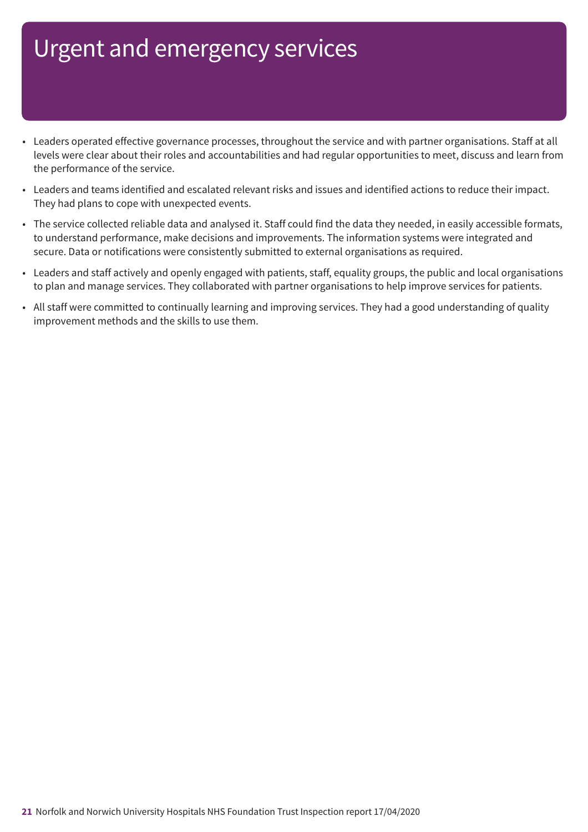- Leaders operated effective governance processes, throughout the service and with partner organisations. Staff at all levels were clear about their roles and accountabilities and had regular opportunities to meet, discuss and learn from the performance of the service.
- Leaders and teams identified and escalated relevant risks and issues and identified actions to reduce their impact. They had plans to cope with unexpected events.
- The service collected reliable data and analysed it. Staff could find the data they needed, in easily accessible formats, to understand performance, make decisions and improvements. The information systems were integrated and secure. Data or notifications were consistently submitted to external organisations as required.
- Leaders and staff actively and openly engaged with patients, staff, equality groups, the public and local organisations to plan and manage services. They collaborated with partner organisations to help improve services for patients.
- All staff were committed to continually learning and improving services. They had a good understanding of quality improvement methods and the skills to use them.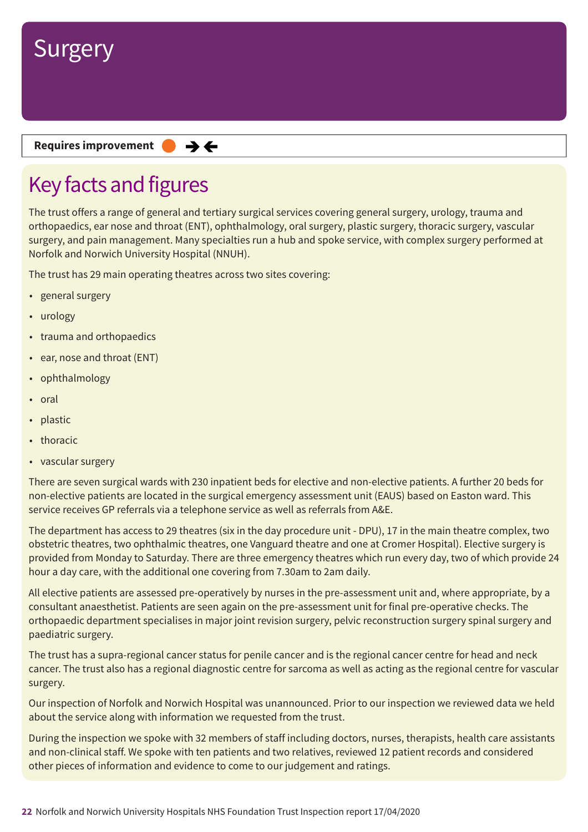

**Requires improvement**  $\rightarrow$   $\leftarrow$ 

## Key facts and figures

The trust offers a range of general and tertiary surgical services covering general surgery, urology, trauma and orthopaedics, ear nose and throat (ENT), ophthalmology, oral surgery, plastic surgery, thoracic surgery, vascular surgery, and pain management. Many specialties run a hub and spoke service, with complex surgery performed at Norfolk and Norwich University Hospital (NNUH).

The trust has 29 main operating theatres across two sites covering:

- general surgery
- urology
- trauma and orthopaedics
- ear, nose and throat (ENT)
- ophthalmology
- oral
- plastic
- thoracic
- vascular surgery

There are seven surgical wards with 230 inpatient beds for elective and non-elective patients. A further 20 beds for non-elective patients are located in the surgical emergency assessment unit (EAUS) based on Easton ward. This service receives GP referrals via a telephone service as well as referrals from A&E.

The department has access to 29 theatres (six in the day procedure unit - DPU), 17 in the main theatre complex, two obstetric theatres, two ophthalmic theatres, one Vanguard theatre and one at Cromer Hospital). Elective surgery is provided from Monday to Saturday. There are three emergency theatres which run every day, two of which provide 24 hour a day care, with the additional one covering from 7.30am to 2am daily.

All elective patients are assessed pre-operatively by nurses in the pre-assessment unit and, where appropriate, by a consultant anaesthetist. Patients are seen again on the pre-assessment unit for final pre-operative checks. The orthopaedic department specialises in major joint revision surgery, pelvic reconstruction surgery spinal surgery and paediatric surgery.

The trust has a supra-regional cancer status for penile cancer and is the regional cancer centre for head and neck cancer. The trust also has a regional diagnostic centre for sarcoma as well as acting as the regional centre for vascular surgery.

Our inspection of Norfolk and Norwich Hospital was unannounced. Prior to our inspection we reviewed data we held about the service along with information we requested from the trust.

During the inspection we spoke with 32 members of staff including doctors, nurses, therapists, health care assistants and non-clinical staff. We spoke with ten patients and two relatives, reviewed 12 patient records and considered other pieces of information and evidence to come to our judgement and ratings.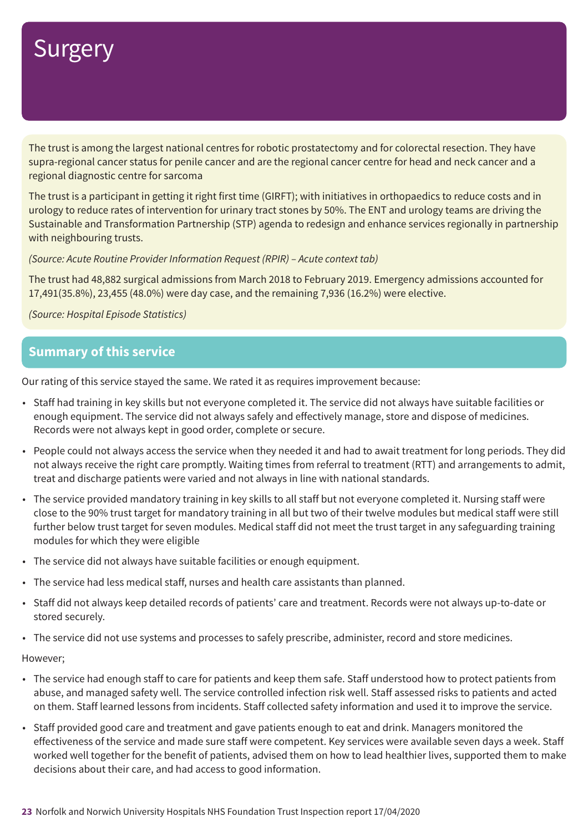The trust is among the largest national centres for robotic prostatectomy and for colorectal resection. They have supra-regional cancer status for penile cancer and are the regional cancer centre for head and neck cancer and a regional diagnostic centre for sarcoma

The trust is a participant in getting it right first time (GIRFT); with initiatives in orthopaedics to reduce costs and in urology to reduce rates of intervention for urinary tract stones by 50%. The ENT and urology teams are driving the Sustainable and Transformation Partnership (STP) agenda to redesign and enhance services regionally in partnership with neighbouring trusts.

*(Source: Acute Routine Provider Information Request (RPIR) – Acute context tab)*

The trust had 48,882 surgical admissions from March 2018 to February 2019. Emergency admissions accounted for 17,491(35.8%), 23,455 (48.0%) were day case, and the remaining 7,936 (16.2%) were elective.

*(Source: Hospital Episode Statistics)*

### **Summary of this service**

Our rating of this service stayed the same. We rated it as requires improvement because:

- Staff had training in key skills but not everyone completed it. The service did not always have suitable facilities or enough equipment. The service did not always safely and effectively manage, store and dispose of medicines. Records were not always kept in good order, complete or secure.
- People could not always access the service when they needed it and had to await treatment for long periods. They did not always receive the right care promptly. Waiting times from referral to treatment (RTT) and arrangements to admit, treat and discharge patients were varied and not always in line with national standards.
- The service provided mandatory training in key skills to all staff but not everyone completed it. Nursing staff were close to the 90% trust target for mandatory training in all but two of their twelve modules but medical staff were still further below trust target for seven modules. Medical staff did not meet the trust target in any safeguarding training modules for which they were eligible
- The service did not always have suitable facilities or enough equipment.
- The service had less medical staff, nurses and health care assistants than planned.
- Staff did not always keep detailed records of patients' care and treatment. Records were not always up-to-date or stored securely.
- The service did not use systems and processes to safely prescribe, administer, record and store medicines.

#### However;

- The service had enough staff to care for patients and keep them safe. Staff understood how to protect patients from abuse, and managed safety well. The service controlled infection risk well. Staff assessed risks to patients and acted on them. Staff learned lessons from incidents. Staff collected safety information and used it to improve the service.
- Staff provided good care and treatment and gave patients enough to eat and drink. Managers monitored the effectiveness of the service and made sure staff were competent. Key services were available seven days a week. Staff worked well together for the benefit of patients, advised them on how to lead healthier lives, supported them to make decisions about their care, and had access to good information.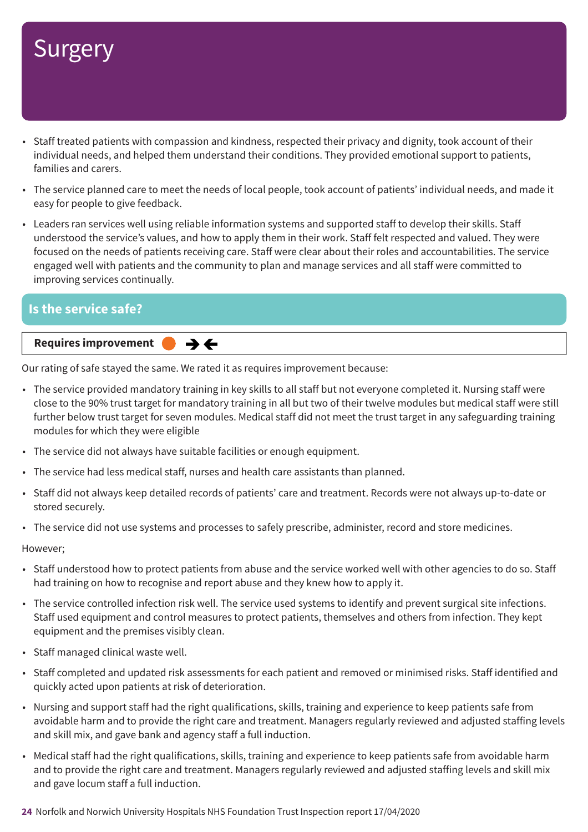- Staff treated patients with compassion and kindness, respected their privacy and dignity, took account of their individual needs, and helped them understand their conditions. They provided emotional support to patients, families and carers.
- The service planned care to meet the needs of local people, took account of patients' individual needs, and made it easy for people to give feedback.
- Leaders ran services well using reliable information systems and supported staff to develop their skills. Staff understood the service's values, and how to apply them in their work. Staff felt respected and valued. They were focused on the needs of patients receiving care. Staff were clear about their roles and accountabilities. The service engaged well with patients and the community to plan and manage services and all staff were committed to improving services continually.

### **Is the service safe?**

**Requires improvement**  $\rightarrow$   $\leftarrow$ 

Our rating of safe stayed the same. We rated it as requires improvement because:

- The service provided mandatory training in key skills to all staff but not everyone completed it. Nursing staff were close to the 90% trust target for mandatory training in all but two of their twelve modules but medical staff were still further below trust target for seven modules. Medical staff did not meet the trust target in any safeguarding training modules for which they were eligible
- The service did not always have suitable facilities or enough equipment.
- The service had less medical staff, nurses and health care assistants than planned.
- Staff did not always keep detailed records of patients' care and treatment. Records were not always up-to-date or stored securely.
- The service did not use systems and processes to safely prescribe, administer, record and store medicines.

#### However;

- Staff understood how to protect patients from abuse and the service worked well with other agencies to do so. Staff had training on how to recognise and report abuse and they knew how to apply it.
- The service controlled infection risk well. The service used systems to identify and prevent surgical site infections. Staff used equipment and control measures to protect patients, themselves and others from infection. They kept equipment and the premises visibly clean.
- Staff managed clinical waste well.
- Staff completed and updated risk assessments for each patient and removed or minimised risks. Staff identified and quickly acted upon patients at risk of deterioration.
- Nursing and support staff had the right qualifications, skills, training and experience to keep patients safe from avoidable harm and to provide the right care and treatment. Managers regularly reviewed and adjusted staffing levels and skill mix, and gave bank and agency staff a full induction.
- Medical staff had the right qualifications, skills, training and experience to keep patients safe from avoidable harm and to provide the right care and treatment. Managers regularly reviewed and adjusted staffing levels and skill mix and gave locum staff a full induction.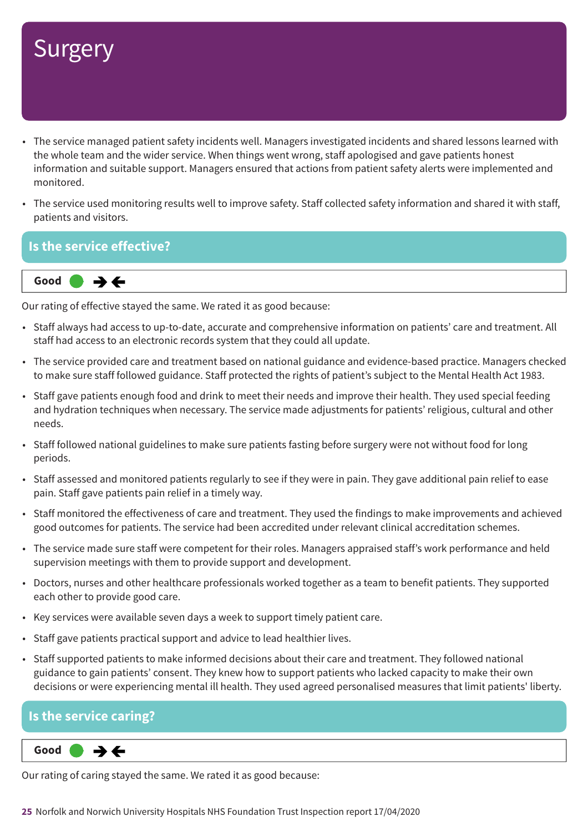- The service managed patient safety incidents well. Managers investigated incidents and shared lessons learned with the whole team and the wider service. When things went wrong, staff apologised and gave patients honest information and suitable support. Managers ensured that actions from patient safety alerts were implemented and monitored.
- The service used monitoring results well to improve safety. Staff collected safety information and shared it with staff, patients and visitors.

### **Is the service effective?**



Our rating of effective stayed the same. We rated it as good because:

- Staff always had access to up-to-date, accurate and comprehensive information on patients' care and treatment. All staff had access to an electronic records system that they could all update.
- The service provided care and treatment based on national guidance and evidence-based practice. Managers checked to make sure staff followed guidance. Staff protected the rights of patient's subject to the Mental Health Act 1983.
- Staff gave patients enough food and drink to meet their needs and improve their health. They used special feeding and hydration techniques when necessary. The service made adjustments for patients' religious, cultural and other needs.
- Staff followed national guidelines to make sure patients fasting before surgery were not without food for long periods.
- Staff assessed and monitored patients regularly to see if they were in pain. They gave additional pain relief to ease pain. Staff gave patients pain relief in a timely way.
- Staff monitored the effectiveness of care and treatment. They used the findings to make improvements and achieved good outcomes for patients. The service had been accredited under relevant clinical accreditation schemes.
- The service made sure staff were competent for their roles. Managers appraised staff's work performance and held supervision meetings with them to provide support and development.
- Doctors, nurses and other healthcare professionals worked together as a team to benefit patients. They supported each other to provide good care.
- Key services were available seven days a week to support timely patient care.
- Staff gave patients practical support and advice to lead healthier lives.
- Staff supported patients to make informed decisions about their care and treatment. They followed national guidance to gain patients' consent. They knew how to support patients who lacked capacity to make their own decisions or were experiencing mental ill health. They used agreed personalised measures that limit patients' liberty.

### **Is the service caring?**

 $\rightarrow \leftarrow$ **Same–––rating Good –––**

Our rating of caring stayed the same. We rated it as good because: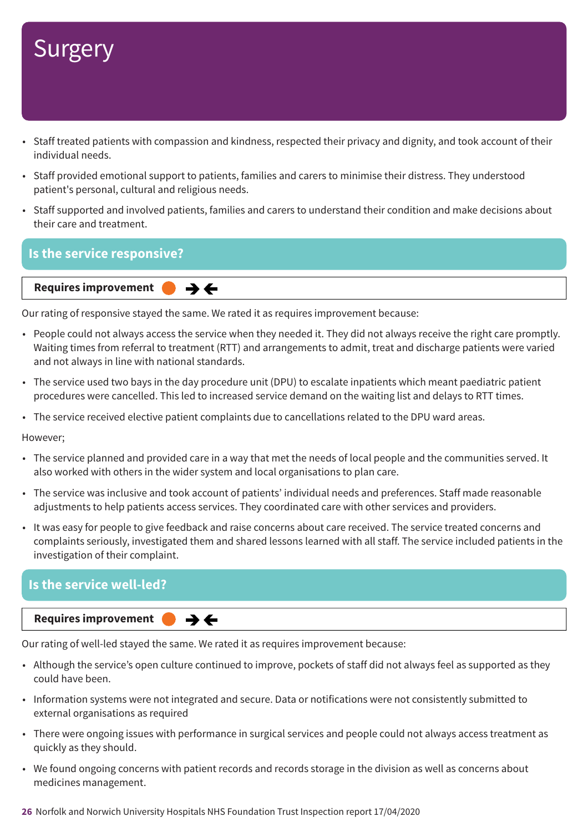- Staff treated patients with compassion and kindness, respected their privacy and dignity, and took account of their individual needs.
- Staff provided emotional support to patients, families and carers to minimise their distress. They understood patient's personal, cultural and religious needs.
- Staff supported and involved patients, families and carers to understand their condition and make decisions about their care and treatment.

### **Is the service responsive?**

**Requires improvement**  $\rightarrow$   $\leftarrow$ 

Our rating of responsive stayed the same. We rated it as requires improvement because:

- People could not always access the service when they needed it. They did not always receive the right care promptly. Waiting times from referral to treatment (RTT) and arrangements to admit, treat and discharge patients were varied and not always in line with national standards.
- The service used two bays in the day procedure unit (DPU) to escalate inpatients which meant paediatric patient procedures were cancelled. This led to increased service demand on the waiting list and delays to RTT times.
- The service received elective patient complaints due to cancellations related to the DPU ward areas.

However;

- The service planned and provided care in a way that met the needs of local people and the communities served. It also worked with others in the wider system and local organisations to plan care.
- The service was inclusive and took account of patients' individual needs and preferences. Staff made reasonable adjustments to help patients access services. They coordinated care with other services and providers.
- It was easy for people to give feedback and raise concerns about care received. The service treated concerns and complaints seriously, investigated them and shared lessons learned with all staff. The service included patients in the investigation of their complaint.

### **Is the service well-led?**

**Requires improvement** 

Our rating of well-led stayed the same. We rated it as requires improvement because:

 $\rightarrow$   $\leftarrow$ 

- Although the service's open culture continued to improve, pockets of staff did not always feel as supported as they could have been.
- Information systems were not integrated and secure. Data or notifications were not consistently submitted to external organisations as required
- There were ongoing issues with performance in surgical services and people could not always access treatment as quickly as they should.
- We found ongoing concerns with patient records and records storage in the division as well as concerns about medicines management.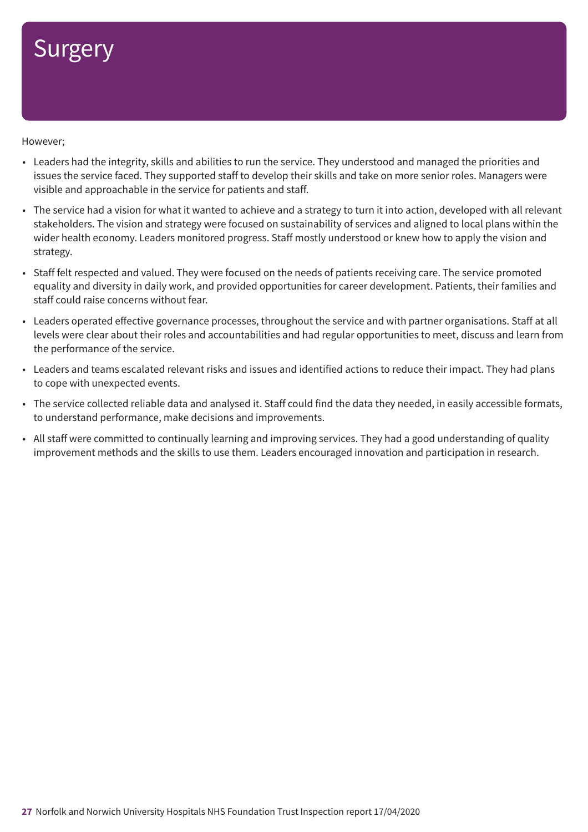However;

- Leaders had the integrity, skills and abilities to run the service. They understood and managed the priorities and issues the service faced. They supported staff to develop their skills and take on more senior roles. Managers were visible and approachable in the service for patients and staff.
- The service had a vision for what it wanted to achieve and a strategy to turn it into action, developed with all relevant stakeholders. The vision and strategy were focused on sustainability of services and aligned to local plans within the wider health economy. Leaders monitored progress. Staff mostly understood or knew how to apply the vision and strategy.
- Staff felt respected and valued. They were focused on the needs of patients receiving care. The service promoted equality and diversity in daily work, and provided opportunities for career development. Patients, their families and staff could raise concerns without fear.
- Leaders operated effective governance processes, throughout the service and with partner organisations. Staff at all levels were clear about their roles and accountabilities and had regular opportunities to meet, discuss and learn from the performance of the service.
- Leaders and teams escalated relevant risks and issues and identified actions to reduce their impact. They had plans to cope with unexpected events.
- The service collected reliable data and analysed it. Staff could find the data they needed, in easily accessible formats, to understand performance, make decisions and improvements.
- All staff were committed to continually learning and improving services. They had a good understanding of quality improvement methods and the skills to use them. Leaders encouraged innovation and participation in research.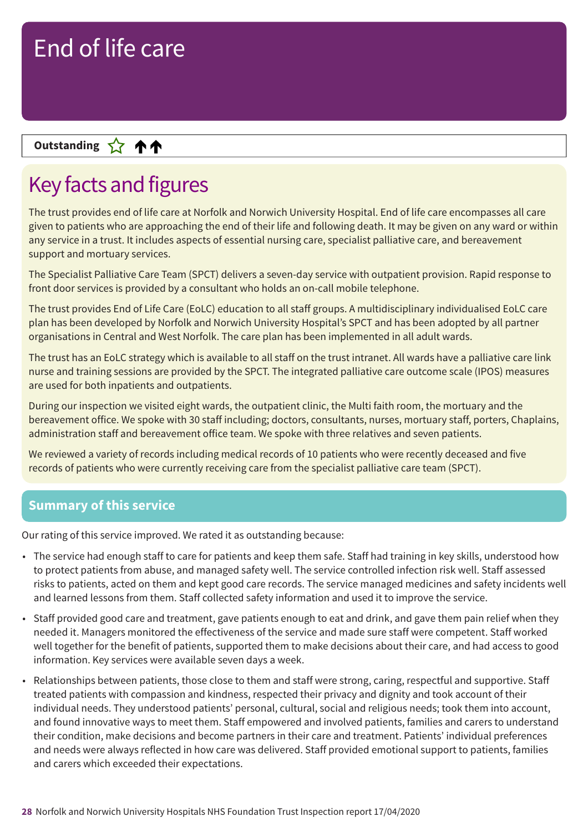### **Up––– two ratings Outstanding**

## Key facts and figures

The trust provides end of life care at Norfolk and Norwich University Hospital. End of life care encompasses all care given to patients who are approaching the end of their life and following death. It may be given on any ward or within any service in a trust. It includes aspects of essential nursing care, specialist palliative care, and bereavement support and mortuary services.

The Specialist Palliative Care Team (SPCT) delivers a seven-day service with outpatient provision. Rapid response to front door services is provided by a consultant who holds an on-call mobile telephone.

The trust provides End of Life Care (EoLC) education to all staff groups. A multidisciplinary individualised EoLC care plan has been developed by Norfolk and Norwich University Hospital's SPCT and has been adopted by all partner organisations in Central and West Norfolk. The care plan has been implemented in all adult wards.

The trust has an EoLC strategy which is available to all staff on the trust intranet. All wards have a palliative care link nurse and training sessions are provided by the SPCT. The integrated palliative care outcome scale (IPOS) measures are used for both inpatients and outpatients.

During our inspection we visited eight wards, the outpatient clinic, the Multi faith room, the mortuary and the bereavement office. We spoke with 30 staff including; doctors, consultants, nurses, mortuary staff, porters, Chaplains, administration staff and bereavement office team. We spoke with three relatives and seven patients.

We reviewed a variety of records including medical records of 10 patients who were recently deceased and five records of patients who were currently receiving care from the specialist palliative care team (SPCT).

### **Summary of this service**

Our rating of this service improved. We rated it as outstanding because:

- The service had enough staff to care for patients and keep them safe. Staff had training in key skills, understood how to protect patients from abuse, and managed safety well. The service controlled infection risk well. Staff assessed risks to patients, acted on them and kept good care records. The service managed medicines and safety incidents well and learned lessons from them. Staff collected safety information and used it to improve the service.
- Staff provided good care and treatment, gave patients enough to eat and drink, and gave them pain relief when they needed it. Managers monitored the effectiveness of the service and made sure staff were competent. Staff worked well together for the benefit of patients, supported them to make decisions about their care, and had access to good information. Key services were available seven days a week.
- Relationships between patients, those close to them and staff were strong, caring, respectful and supportive. Staff treated patients with compassion and kindness, respected their privacy and dignity and took account of their individual needs. They understood patients' personal, cultural, social and religious needs; took them into account, and found innovative ways to meet them. Staff empowered and involved patients, families and carers to understand their condition, make decisions and become partners in their care and treatment. Patients' individual preferences and needs were always reflected in how care was delivered. Staff provided emotional support to patients, families and carers which exceeded their expectations.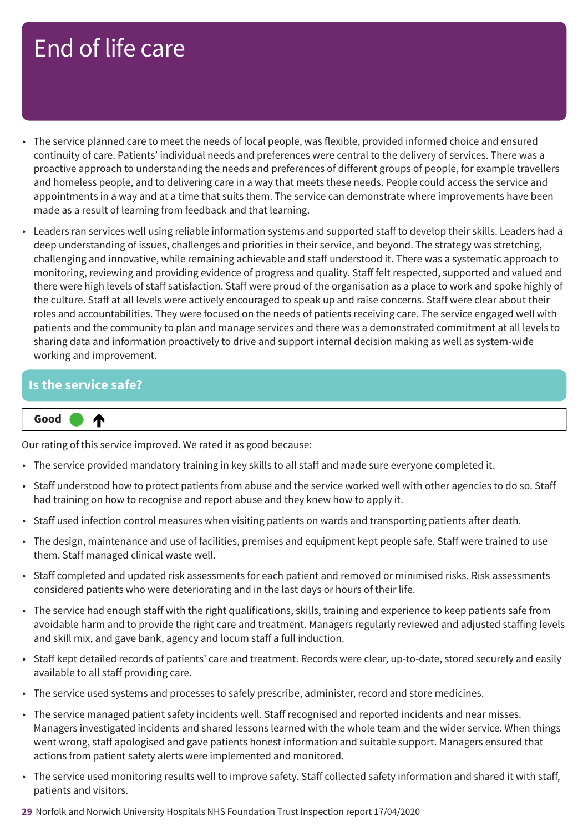- The service planned care to meet the needs of local people, was flexible, provided informed choice and ensured continuity of care. Patients' individual needs and preferences were central to the delivery of services. There was a proactive approach to understanding the needs and preferences of different groups of people, for example travellers and homeless people, and to delivering care in a way that meets these needs. People could access the service and appointments in a way and at a time that suits them. The service can demonstrate where improvements have been made as a result of learning from feedback and that learning.
- Leaders ran services well using reliable information systems and supported staff to develop their skills. Leaders had a deep understanding of issues, challenges and priorities in their service, and beyond. The strategy was stretching, challenging and innovative, while remaining achievable and staff understood it. There was a systematic approach to monitoring, reviewing and providing evidence of progress and quality. Staff felt respected, supported and valued and there were high levels of staff satisfaction. Staff were proud of the organisation as a place to work and spoke highly of the culture. Staff at all levels were actively encouraged to speak up and raise concerns. Staff were clear about their roles and accountabilities. They were focused on the needs of patients receiving care. The service engaged well with patients and the community to plan and manage services and there was a demonstrated commitment at all levels to sharing data and information proactively to drive and support internal decision making as well as system-wide working and improvement.

### **Is the service safe?**

#### ₳ **Up one rating Good –––**

Our rating of this service improved. We rated it as good because:

- The service provided mandatory training in key skills to all staff and made sure everyone completed it.
- Staff understood how to protect patients from abuse and the service worked well with other agencies to do so. Staff had training on how to recognise and report abuse and they knew how to apply it.
- Staff used infection control measures when visiting patients on wards and transporting patients after death.
- The design, maintenance and use of facilities, premises and equipment kept people safe. Staff were trained to use them. Staff managed clinical waste well.
- Staff completed and updated risk assessments for each patient and removed or minimised risks. Risk assessments considered patients who were deteriorating and in the last days or hours of their life.
- The service had enough staff with the right qualifications, skills, training and experience to keep patients safe from avoidable harm and to provide the right care and treatment. Managers regularly reviewed and adjusted staffing levels and skill mix, and gave bank, agency and locum staff a full induction.
- Staff kept detailed records of patients' care and treatment. Records were clear, up-to-date, stored securely and easily available to all staff providing care.
- The service used systems and processes to safely prescribe, administer, record and store medicines.
- The service managed patient safety incidents well. Staff recognised and reported incidents and near misses. Managers investigated incidents and shared lessons learned with the whole team and the wider service. When things went wrong, staff apologised and gave patients honest information and suitable support. Managers ensured that actions from patient safety alerts were implemented and monitored.
- The service used monitoring results well to improve safety. Staff collected safety information and shared it with staff, patients and visitors.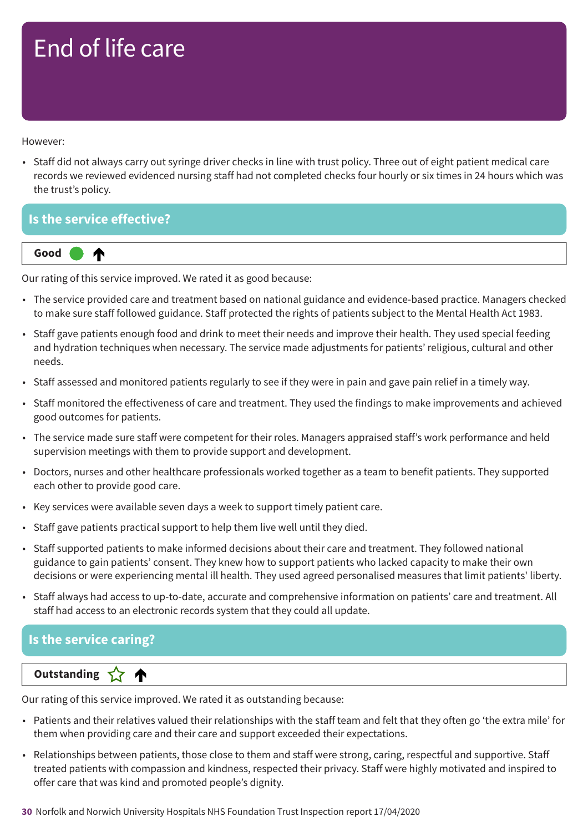However:

• Staff did not always carry out syringe driver checks in line with trust policy. Three out of eight patient medical care records we reviewed evidenced nursing staff had not completed checks four hourly or six times in 24 hours which was the trust's policy.

**Is the service effective?**



Our rating of this service improved. We rated it as good because:

- The service provided care and treatment based on national guidance and evidence-based practice. Managers checked to make sure staff followed guidance. Staff protected the rights of patients subject to the Mental Health Act 1983.
- Staff gave patients enough food and drink to meet their needs and improve their health. They used special feeding and hydration techniques when necessary. The service made adjustments for patients' religious, cultural and other needs.
- Staff assessed and monitored patients regularly to see if they were in pain and gave pain relief in a timely way.
- Staff monitored the effectiveness of care and treatment. They used the findings to make improvements and achieved good outcomes for patients.
- The service made sure staff were competent for their roles. Managers appraised staff's work performance and held supervision meetings with them to provide support and development.
- Doctors, nurses and other healthcare professionals worked together as a team to benefit patients. They supported each other to provide good care.
- Key services were available seven days a week to support timely patient care.
- Staff gave patients practical support to help them live well until they died.
- Staff supported patients to make informed decisions about their care and treatment. They followed national guidance to gain patients' consent. They knew how to support patients who lacked capacity to make their own decisions or were experiencing mental ill health. They used agreed personalised measures that limit patients' liberty.
- Staff always had access to up-to-date, accurate and comprehensive information on patients' care and treatment. All staff had access to an electronic records system that they could all update.

### **Is the service caring?**

### **Letter Cone Extending**

Our rating of this service improved. We rated it as outstanding because:

- Patients and their relatives valued their relationships with the staff team and felt that they often go 'the extra mile' for them when providing care and their care and support exceeded their expectations.
- Relationships between patients, those close to them and staff were strong, caring, respectful and supportive. Staff treated patients with compassion and kindness, respected their privacy. Staff were highly motivated and inspired to offer care that was kind and promoted people's dignity.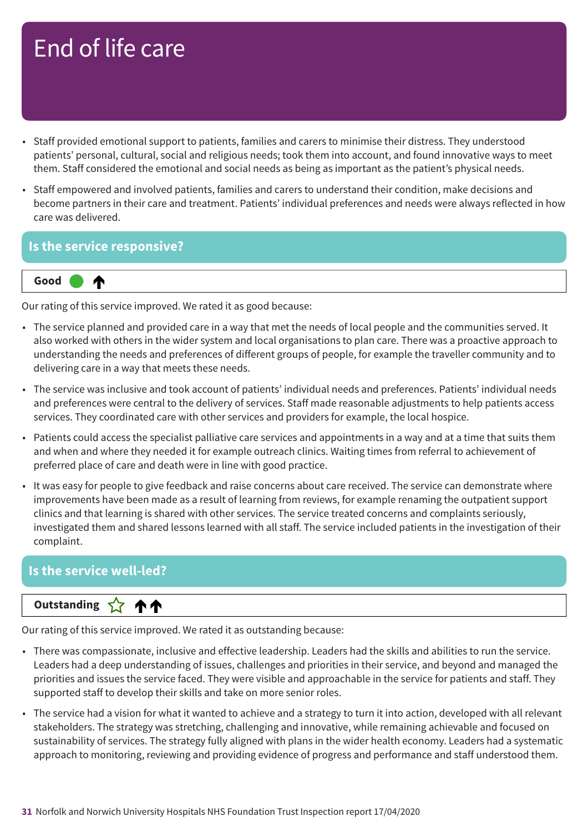- Staff provided emotional support to patients, families and carers to minimise their distress. They understood patients' personal, cultural, social and religious needs; took them into account, and found innovative ways to meet them. Staff considered the emotional and social needs as being as important as the patient's physical needs.
- Staff empowered and involved patients, families and carers to understand their condition, make decisions and become partners in their care and treatment. Patients' individual preferences and needs were always reflected in how care was delivered.

### **Is the service responsive?**



Our rating of this service improved. We rated it as good because:

- The service planned and provided care in a way that met the needs of local people and the communities served. It also worked with others in the wider system and local organisations to plan care. There was a proactive approach to understanding the needs and preferences of different groups of people, for example the traveller community and to delivering care in a way that meets these needs.
- The service was inclusive and took account of patients' individual needs and preferences. Patients' individual needs and preferences were central to the delivery of services. Staff made reasonable adjustments to help patients access services. They coordinated care with other services and providers for example, the local hospice.
- Patients could access the specialist palliative care services and appointments in a way and at a time that suits them and when and where they needed it for example outreach clinics. Waiting times from referral to achievement of preferred place of care and death were in line with good practice.
- It was easy for people to give feedback and raise concerns about care received. The service can demonstrate where improvements have been made as a result of learning from reviews, for example renaming the outpatient support clinics and that learning is shared with other services. The service treated concerns and complaints seriously, investigated them and shared lessons learned with all staff. The service included patients in the investigation of their complaint.

### **Is the service well-led?**

### **Up––– two ratings Outstanding**

Our rating of this service improved. We rated it as outstanding because:

- There was compassionate, inclusive and effective leadership. Leaders had the skills and abilities to run the service. Leaders had a deep understanding of issues, challenges and priorities in their service, and beyond and managed the priorities and issues the service faced. They were visible and approachable in the service for patients and staff. They supported staff to develop their skills and take on more senior roles.
- The service had a vision for what it wanted to achieve and a strategy to turn it into action, developed with all relevant stakeholders. The strategy was stretching, challenging and innovative, while remaining achievable and focused on sustainability of services. The strategy fully aligned with plans in the wider health economy. Leaders had a systematic approach to monitoring, reviewing and providing evidence of progress and performance and staff understood them.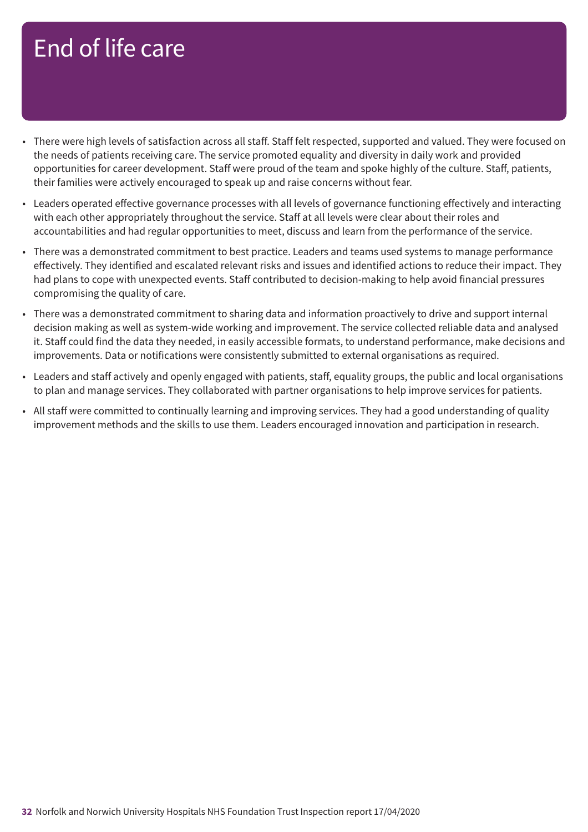- There were high levels of satisfaction across all staff. Staff felt respected, supported and valued. They were focused on the needs of patients receiving care. The service promoted equality and diversity in daily work and provided opportunities for career development. Staff were proud of the team and spoke highly of the culture. Staff, patients, their families were actively encouraged to speak up and raise concerns without fear.
- Leaders operated effective governance processes with all levels of governance functioning effectively and interacting with each other appropriately throughout the service. Staff at all levels were clear about their roles and accountabilities and had regular opportunities to meet, discuss and learn from the performance of the service.
- There was a demonstrated commitment to best practice. Leaders and teams used systems to manage performance effectively. They identified and escalated relevant risks and issues and identified actions to reduce their impact. They had plans to cope with unexpected events. Staff contributed to decision-making to help avoid financial pressures compromising the quality of care.
- There was a demonstrated commitment to sharing data and information proactively to drive and support internal decision making as well as system-wide working and improvement. The service collected reliable data and analysed it. Staff could find the data they needed, in easily accessible formats, to understand performance, make decisions and improvements. Data or notifications were consistently submitted to external organisations as required.
- Leaders and staff actively and openly engaged with patients, staff, equality groups, the public and local organisations to plan and manage services. They collaborated with partner organisations to help improve services for patients.
- All staff were committed to continually learning and improving services. They had a good understanding of quality improvement methods and the skills to use them. Leaders encouraged innovation and participation in research.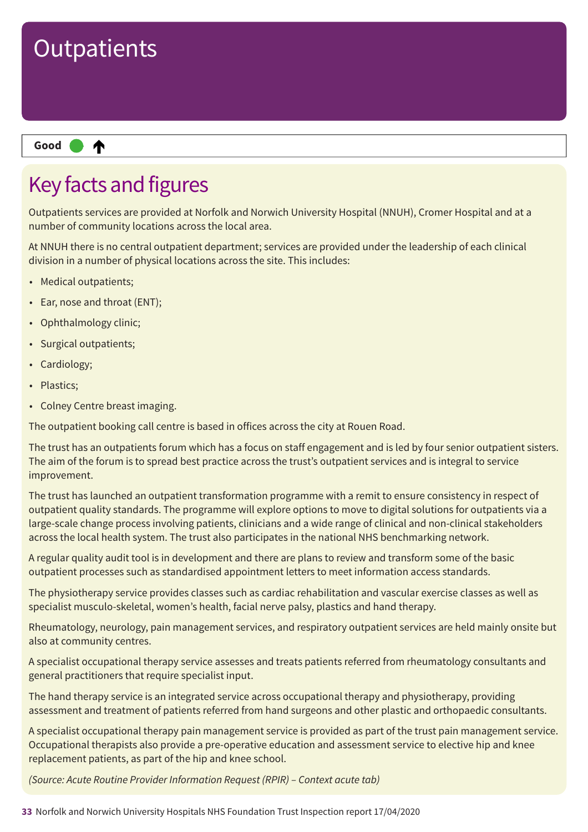

## Key facts and figures

Outpatients services are provided at Norfolk and Norwich University Hospital (NNUH), Cromer Hospital and at a number of community locations across the local area.

At NNUH there is no central outpatient department; services are provided under the leadership of each clinical division in a number of physical locations across the site. This includes:

- Medical outpatients;
- Ear, nose and throat (ENT);
- Ophthalmology clinic;
- Surgical outpatients;
- Cardiology;
- Plastics;
- Colney Centre breast imaging.

The outpatient booking call centre is based in offices across the city at Rouen Road.

The trust has an outpatients forum which has a focus on staff engagement and is led by four senior outpatient sisters. The aim of the forum is to spread best practice across the trust's outpatient services and is integral to service improvement.

The trust has launched an outpatient transformation programme with a remit to ensure consistency in respect of outpatient quality standards. The programme will explore options to move to digital solutions for outpatients via a large-scale change process involving patients, clinicians and a wide range of clinical and non-clinical stakeholders across the local health system. The trust also participates in the national NHS benchmarking network.

A regular quality audit tool is in development and there are plans to review and transform some of the basic outpatient processes such as standardised appointment letters to meet information access standards.

The physiotherapy service provides classes such as cardiac rehabilitation and vascular exercise classes as well as specialist musculo-skeletal, women's health, facial nerve palsy, plastics and hand therapy.

Rheumatology, neurology, pain management services, and respiratory outpatient services are held mainly onsite but also at community centres.

A specialist occupational therapy service assesses and treats patients referred from rheumatology consultants and general practitioners that require specialist input.

The hand therapy service is an integrated service across occupational therapy and physiotherapy, providing assessment and treatment of patients referred from hand surgeons and other plastic and orthopaedic consultants.

A specialist occupational therapy pain management service is provided as part of the trust pain management service. Occupational therapists also provide a pre-operative education and assessment service to elective hip and knee replacement patients, as part of the hip and knee school.

*(Source: Acute Routine Provider Information Request (RPIR) – Context acute tab)*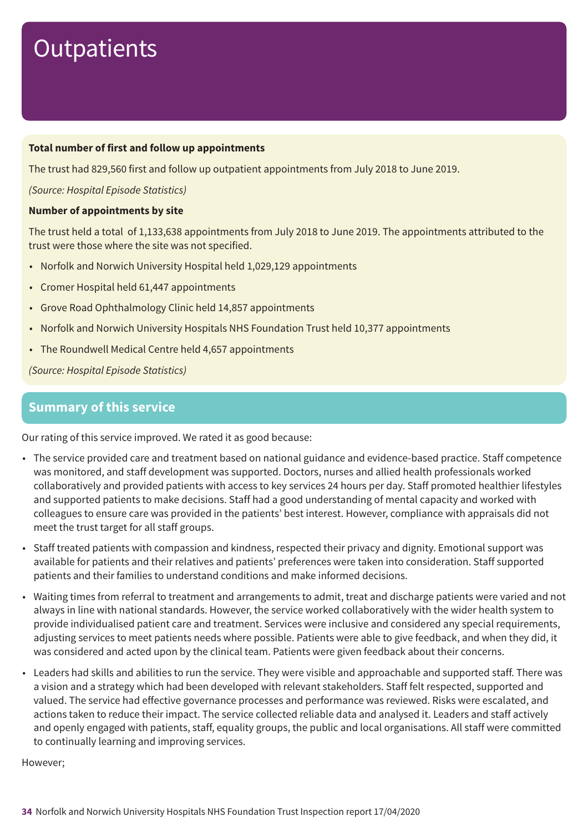#### **Total number of first and follow up appointments**

The trust had 829,560 first and follow up outpatient appointments from July 2018 to June 2019.

*(Source: Hospital Episode Statistics)*

#### **Number of appointments by site**

The trust held a total of 1,133,638 appointments from July 2018 to June 2019. The appointments attributed to the trust were those where the site was not specified.

- Norfolk and Norwich University Hospital held 1,029,129 appointments
- Cromer Hospital held 61,447 appointments
- Grove Road Ophthalmology Clinic held 14,857 appointments
- Norfolk and Norwich University Hospitals NHS Foundation Trust held 10,377 appointments
- The Roundwell Medical Centre held 4,657 appointments

*(Source: Hospital Episode Statistics)*

### **Summary of this service**

Our rating of this service improved. We rated it as good because:

- The service provided care and treatment based on national guidance and evidence-based practice. Staff competence was monitored, and staff development was supported. Doctors, nurses and allied health professionals worked collaboratively and provided patients with access to key services 24 hours per day. Staff promoted healthier lifestyles and supported patients to make decisions. Staff had a good understanding of mental capacity and worked with colleagues to ensure care was provided in the patients' best interest. However, compliance with appraisals did not meet the trust target for all staff groups.
- Staff treated patients with compassion and kindness, respected their privacy and dignity. Emotional support was available for patients and their relatives and patients' preferences were taken into consideration. Staff supported patients and their families to understand conditions and make informed decisions.
- Waiting times from referral to treatment and arrangements to admit, treat and discharge patients were varied and not always in line with national standards. However, the service worked collaboratively with the wider health system to provide individualised patient care and treatment. Services were inclusive and considered any special requirements, adjusting services to meet patients needs where possible. Patients were able to give feedback, and when they did, it was considered and acted upon by the clinical team. Patients were given feedback about their concerns.
- Leaders had skills and abilities to run the service. They were visible and approachable and supported staff. There was a vision and a strategy which had been developed with relevant stakeholders. Staff felt respected, supported and valued. The service had effective governance processes and performance was reviewed. Risks were escalated, and actions taken to reduce their impact. The service collected reliable data and analysed it. Leaders and staff actively and openly engaged with patients, staff, equality groups, the public and local organisations. All staff were committed to continually learning and improving services.

However;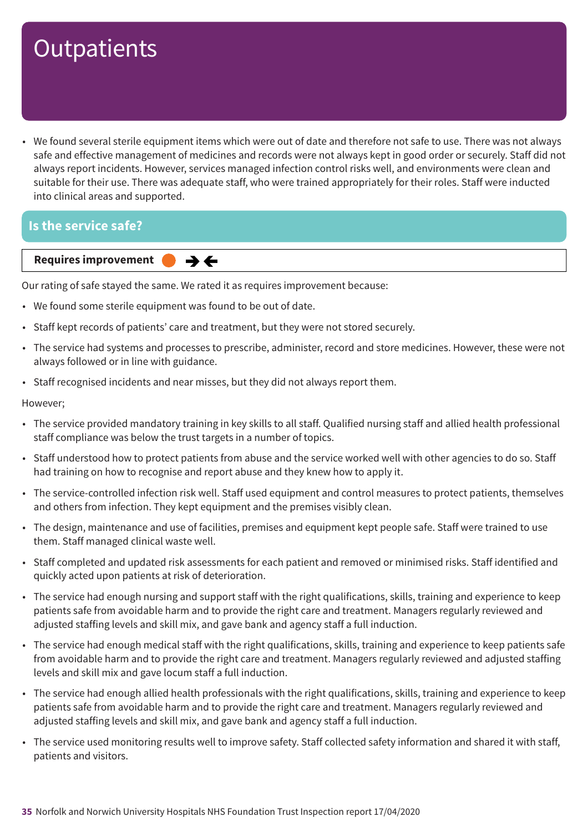• We found several sterile equipment items which were out of date and therefore not safe to use. There was not always safe and effective management of medicines and records were not always kept in good order or securely. Staff did not always report incidents. However, services managed infection control risks well, and environments were clean and suitable for their use. There was adequate staff, who were trained appropriately for their roles. Staff were inducted into clinical areas and supported.

### **Is the service safe?**

**Requires improvement**  $\rightarrow$   $\leftarrow$ 

Our rating of safe stayed the same. We rated it as requires improvement because:

- We found some sterile equipment was found to be out of date.
- Staff kept records of patients' care and treatment, but they were not stored securely.
- The service had systems and processes to prescribe, administer, record and store medicines. However, these were not always followed or in line with guidance.
- Staff recognised incidents and near misses, but they did not always report them.

#### However;

- The service provided mandatory training in key skills to all staff. Qualified nursing staff and allied health professional staff compliance was below the trust targets in a number of topics.
- Staff understood how to protect patients from abuse and the service worked well with other agencies to do so. Staff had training on how to recognise and report abuse and they knew how to apply it.
- The service-controlled infection risk well. Staff used equipment and control measures to protect patients, themselves and others from infection. They kept equipment and the premises visibly clean.
- The design, maintenance and use of facilities, premises and equipment kept people safe. Staff were trained to use them. Staff managed clinical waste well.
- Staff completed and updated risk assessments for each patient and removed or minimised risks. Staff identified and quickly acted upon patients at risk of deterioration.
- The service had enough nursing and support staff with the right qualifications, skills, training and experience to keep patients safe from avoidable harm and to provide the right care and treatment. Managers regularly reviewed and adjusted staffing levels and skill mix, and gave bank and agency staff a full induction.
- The service had enough medical staff with the right qualifications, skills, training and experience to keep patients safe from avoidable harm and to provide the right care and treatment. Managers regularly reviewed and adjusted staffing levels and skill mix and gave locum staff a full induction.
- The service had enough allied health professionals with the right qualifications, skills, training and experience to keep patients safe from avoidable harm and to provide the right care and treatment. Managers regularly reviewed and adjusted staffing levels and skill mix, and gave bank and agency staff a full induction.
- The service used monitoring results well to improve safety. Staff collected safety information and shared it with staff, patients and visitors.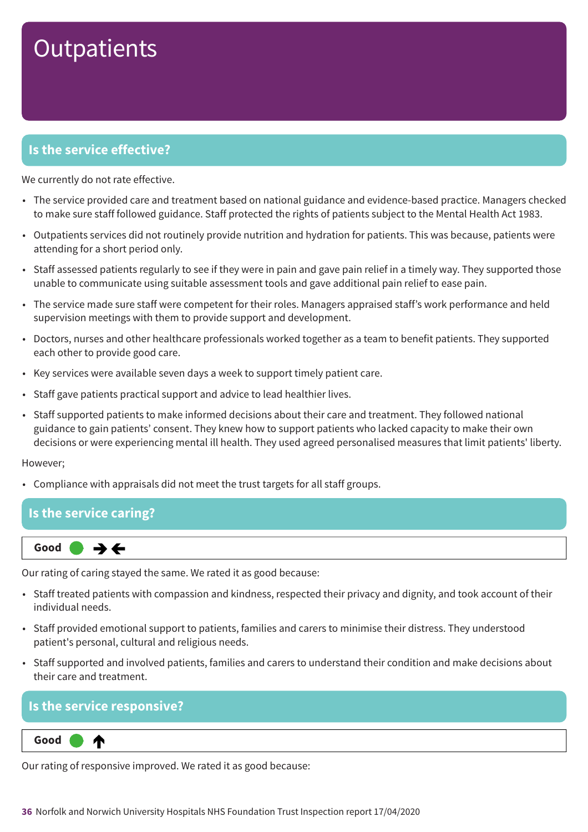### **Is the service effective?**

We currently do not rate effective.

- The service provided care and treatment based on national guidance and evidence-based practice. Managers checked to make sure staff followed guidance. Staff protected the rights of patients subject to the Mental Health Act 1983.
- Outpatients services did not routinely provide nutrition and hydration for patients. This was because, patients were attending for a short period only.
- Staff assessed patients regularly to see if they were in pain and gave pain relief in a timely way. They supported those unable to communicate using suitable assessment tools and gave additional pain relief to ease pain.
- The service made sure staff were competent for their roles. Managers appraised staff's work performance and held supervision meetings with them to provide support and development.
- Doctors, nurses and other healthcare professionals worked together as a team to benefit patients. They supported each other to provide good care.
- Key services were available seven days a week to support timely patient care.
- Staff gave patients practical support and advice to lead healthier lives.
- Staff supported patients to make informed decisions about their care and treatment. They followed national guidance to gain patients' consent. They knew how to support patients who lacked capacity to make their own decisions or were experiencing mental ill health. They used agreed personalised measures that limit patients' liberty.

#### However;

• Compliance with appraisals did not meet the trust targets for all staff groups.

### **Is the service caring?**



Our rating of caring stayed the same. We rated it as good because:

- Staff treated patients with compassion and kindness, respected their privacy and dignity, and took account of their individual needs.
- Staff provided emotional support to patients, families and carers to minimise their distress. They understood patient's personal, cultural and religious needs.
- Staff supported and involved patients, families and carers to understand their condition and make decisions about their care and treatment.

### **Is the service responsive?**



Our rating of responsive improved. We rated it as good because: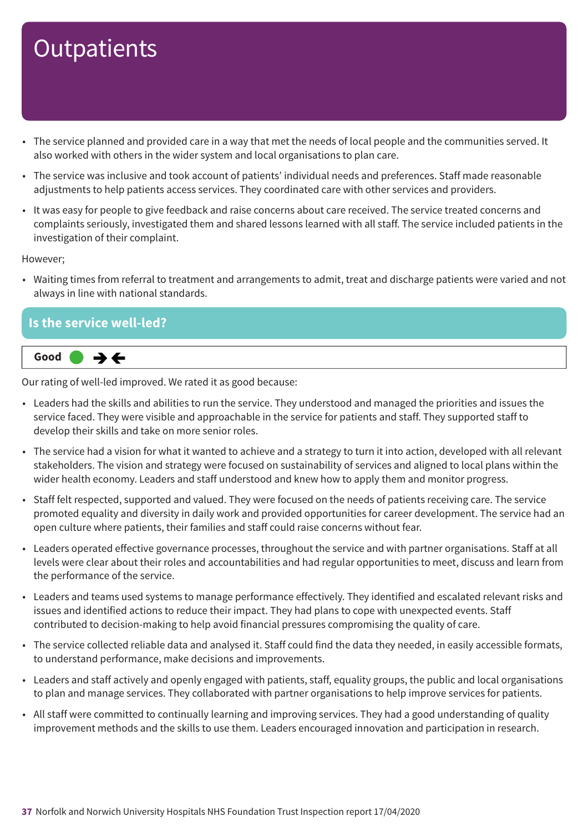- The service planned and provided care in a way that met the needs of local people and the communities served. It also worked with others in the wider system and local organisations to plan care.
- The service was inclusive and took account of patients' individual needs and preferences. Staff made reasonable adjustments to help patients access services. They coordinated care with other services and providers.
- It was easy for people to give feedback and raise concerns about care received. The service treated concerns and complaints seriously, investigated them and shared lessons learned with all staff. The service included patients in the investigation of their complaint.

However;

• Waiting times from referral to treatment and arrangements to admit, treat and discharge patients were varied and not always in line with national standards.

### **Is the service well-led?**  $\rightarrow$   $\leftarrow$ **Same–––rating Good –––**

Our rating of well-led improved. We rated it as good because:

- Leaders had the skills and abilities to run the service. They understood and managed the priorities and issues the service faced. They were visible and approachable in the service for patients and staff. They supported staff to develop their skills and take on more senior roles.
- The service had a vision for what it wanted to achieve and a strategy to turn it into action, developed with all relevant stakeholders. The vision and strategy were focused on sustainability of services and aligned to local plans within the wider health economy. Leaders and staff understood and knew how to apply them and monitor progress.
- Staff felt respected, supported and valued. They were focused on the needs of patients receiving care. The service promoted equality and diversity in daily work and provided opportunities for career development. The service had an open culture where patients, their families and staff could raise concerns without fear.
- Leaders operated effective governance processes, throughout the service and with partner organisations. Staff at all levels were clear about their roles and accountabilities and had regular opportunities to meet, discuss and learn from the performance of the service.
- Leaders and teams used systems to manage performance effectively. They identified and escalated relevant risks and issues and identified actions to reduce their impact. They had plans to cope with unexpected events. Staff contributed to decision-making to help avoid financial pressures compromising the quality of care.
- The service collected reliable data and analysed it. Staff could find the data they needed, in easily accessible formats, to understand performance, make decisions and improvements.
- Leaders and staff actively and openly engaged with patients, staff, equality groups, the public and local organisations to plan and manage services. They collaborated with partner organisations to help improve services for patients.
- All staff were committed to continually learning and improving services. They had a good understanding of quality improvement methods and the skills to use them. Leaders encouraged innovation and participation in research.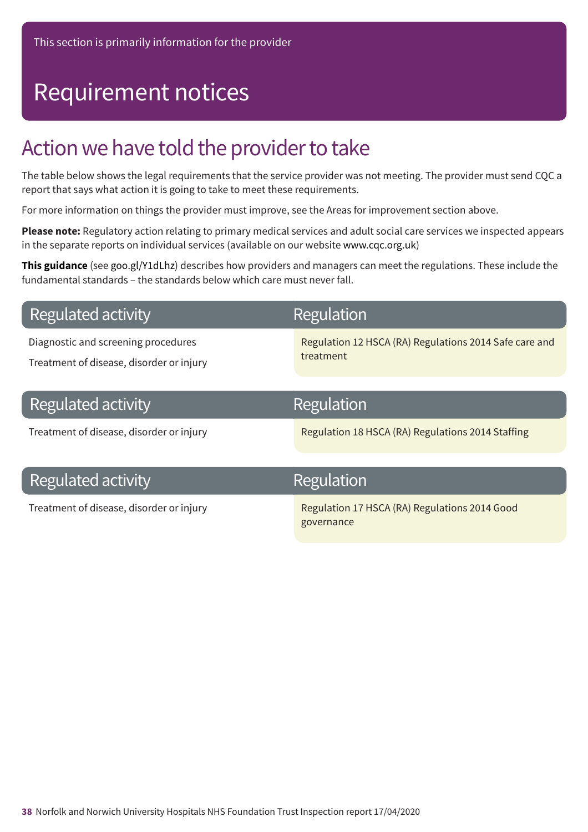## Requirement notices

### Action we have told the provider to take

The table below shows the legal requirements that the service provider was not meeting. The provider must send CQC a report that says what action it is going to take to meet these requirements.

For more information on things the provider must improve, see the Areas for improvement section above.

**Please note:** Regulatory action relating to primary medical services and adult social care services we inspected appears in the separate reports on individual services (available on our website www.cqc.org.uk)

**This guidance** (see goo.gl/Y1dLhz) describes how providers and managers can meet the regulations. These include the fundamental standards – the standards below which care must never fall.

### **Regulated activity**

Diagnostic and screening procedures

Treatment of disease, disorder or injury

### Regulation

Regulation 12 HSCA (RA) Regulations 2014 Safe care and treatment

| Regulated activity                       | Regulation                                        |
|------------------------------------------|---------------------------------------------------|
| Treatment of disease, disorder or injury | Regulation 18 HSCA (RA) Regulations 2014 Staffing |

### **Regulated activity**

### Regulation

Treatment of disease, disorder or injury Regulation 17 HSCA (RA) Regulations 2014 Good governance